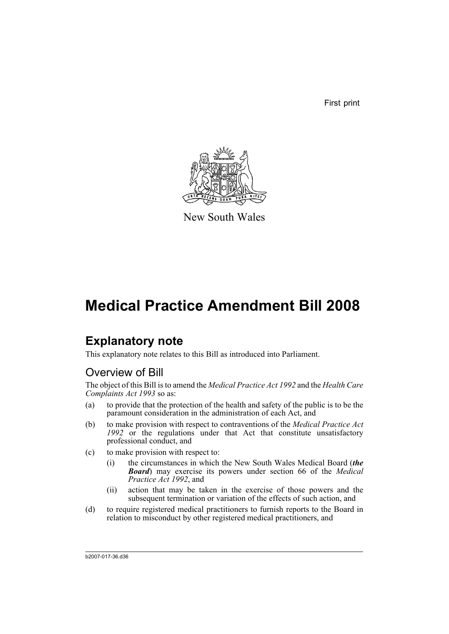First print



New South Wales

# **Medical Practice Amendment Bill 2008**

## **Explanatory note**

This explanatory note relates to this Bill as introduced into Parliament.

### Overview of Bill

The object of this Bill is to amend the *Medical Practice Act 1992* and the *Health Care Complaints Act 1993* so as:

- (a) to provide that the protection of the health and safety of the public is to be the paramount consideration in the administration of each Act, and
- (b) to make provision with respect to contraventions of the *Medical Practice Act* 1992 or the regulations under that Act that constitute unsatisfactory professional conduct, and
- (c) to make provision with respect to:
	- (i) the circumstances in which the New South Wales Medical Board (*the Board*) may exercise its powers under section 66 of the *Medical Practice Act 1992*, and
	- (ii) action that may be taken in the exercise of those powers and the subsequent termination or variation of the effects of such action, and
- (d) to require registered medical practitioners to furnish reports to the Board in relation to misconduct by other registered medical practitioners, and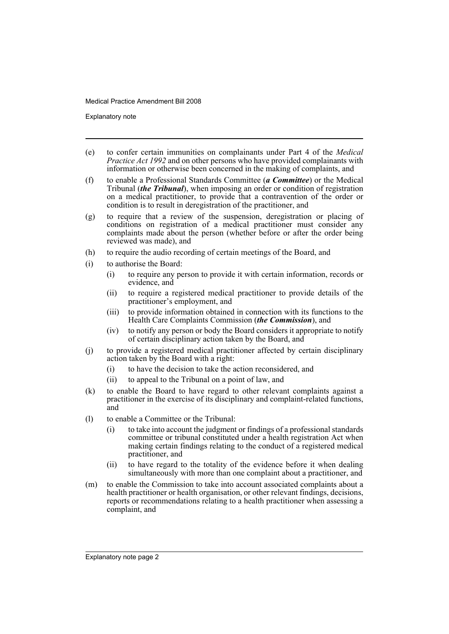Explanatory note

- (e) to confer certain immunities on complainants under Part 4 of the *Medical Practice Act 1992* and on other persons who have provided complainants with information or otherwise been concerned in the making of complaints, and
- (f) to enable a Professional Standards Committee (*a Committee*) or the Medical Tribunal (*the Tribunal*), when imposing an order or condition of registration on a medical practitioner, to provide that a contravention of the order or condition is to result in deregistration of the practitioner, and
- (g) to require that a review of the suspension, deregistration or placing of conditions on registration of a medical practitioner must consider any complaints made about the person (whether before or after the order being reviewed was made), and
- (h) to require the audio recording of certain meetings of the Board, and
- (i) to authorise the Board:
	- (i) to require any person to provide it with certain information, records or evidence, and
	- (ii) to require a registered medical practitioner to provide details of the practitioner's employment, and
	- (iii) to provide information obtained in connection with its functions to the Health Care Complaints Commission (*the Commission*), and
	- (iv) to notify any person or body the Board considers it appropriate to notify of certain disciplinary action taken by the Board, and
- (j) to provide a registered medical practitioner affected by certain disciplinary action taken by the Board with a right:
	- (i) to have the decision to take the action reconsidered, and
	- (ii) to appeal to the Tribunal on a point of law, and
- (k) to enable the Board to have regard to other relevant complaints against a practitioner in the exercise of its disciplinary and complaint-related functions, and
- (l) to enable a Committee or the Tribunal:
	- (i) to take into account the judgment or findings of a professional standards committee or tribunal constituted under a health registration Act when making certain findings relating to the conduct of a registered medical practitioner, and
	- (ii) to have regard to the totality of the evidence before it when dealing simultaneously with more than one complaint about a practitioner, and
- (m) to enable the Commission to take into account associated complaints about a health practitioner or health organisation, or other relevant findings, decisions, reports or recommendations relating to a health practitioner when assessing a complaint, and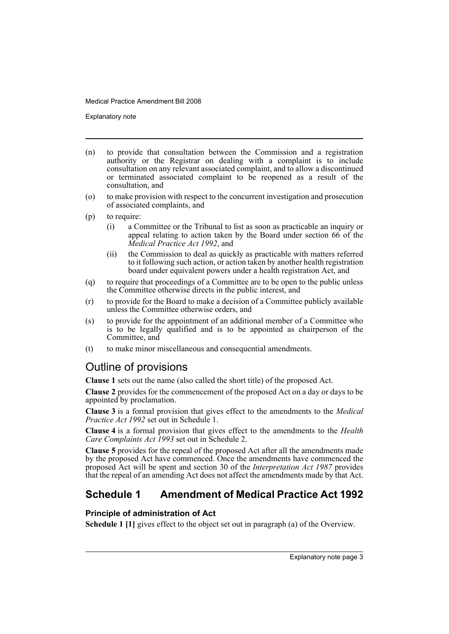Explanatory note

- (n) to provide that consultation between the Commission and a registration authority or the Registrar on dealing with a complaint is to include consultation on any relevant associated complaint, and to allow a discontinued or terminated associated complaint to be reopened as a result of the consultation, and
- (o) to make provision with respect to the concurrent investigation and prosecution of associated complaints, and
- (p) to require:
	- (i) a Committee or the Tribunal to list as soon as practicable an inquiry or appeal relating to action taken by the Board under section 66 of the *Medical Practice Act 1992*, and
	- (ii) the Commission to deal as quickly as practicable with matters referred to it following such action, or action taken by another health registration board under equivalent powers under a health registration Act, and
- (q) to require that proceedings of a Committee are to be open to the public unless the Committee otherwise directs in the public interest, and
- (r) to provide for the Board to make a decision of a Committee publicly available unless the Committee otherwise orders, and
- (s) to provide for the appointment of an additional member of a Committee who is to be legally qualified and is to be appointed as chairperson of the Committee, and
- (t) to make minor miscellaneous and consequential amendments.

### Outline of provisions

**Clause 1** sets out the name (also called the short title) of the proposed Act.

**Clause 2** provides for the commencement of the proposed Act on a day or days to be appointed by proclamation.

**Clause 3** is a formal provision that gives effect to the amendments to the *Medical Practice Act 1992* set out in Schedule 1.

**Clause 4** is a formal provision that gives effect to the amendments to the *Health Care Complaints Act 1993* set out in Schedule 2.

**Clause 5** provides for the repeal of the proposed Act after all the amendments made by the proposed Act have commenced. Once the amendments have commenced the proposed Act will be spent and section 30 of the *Interpretation Act 1987* provides that the repeal of an amending Act does not affect the amendments made by that Act.

## **Schedule 1 Amendment of Medical Practice Act 1992**

### **Principle of administration of Act**

**Schedule 1 [1]** gives effect to the object set out in paragraph (a) of the Overview.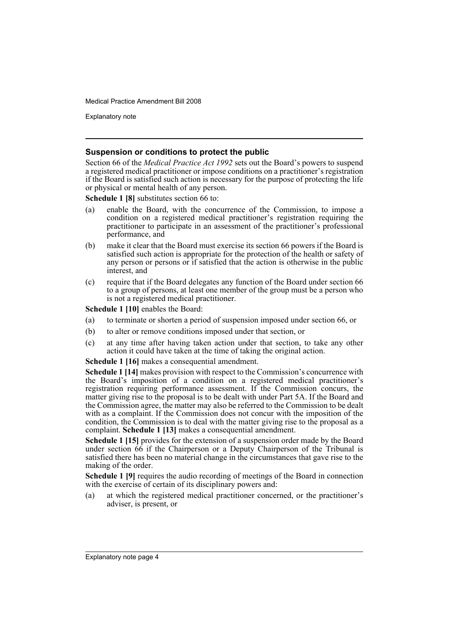Explanatory note

### **Suspension or conditions to protect the public**

Section 66 of the *Medical Practice Act 1992* sets out the Board's powers to suspend a registered medical practitioner or impose conditions on a practitioner's registration if the Board is satisfied such action is necessary for the purpose of protecting the life or physical or mental health of any person.

**Schedule 1 [8]** substitutes section 66 to:

- (a) enable the Board, with the concurrence of the Commission, to impose a condition on a registered medical practitioner's registration requiring the practitioner to participate in an assessment of the practitioner's professional performance, and
- (b) make it clear that the Board must exercise its section 66 powers if the Board is satisfied such action is appropriate for the protection of the health or safety of any person or persons or if satisfied that the action is otherwise in the public interest, and
- (c) require that if the Board delegates any function of the Board under section 66 to a group of persons, at least one member of the group must be a person who is not a registered medical practitioner.

**Schedule 1 [10]** enables the Board:

- (a) to terminate or shorten a period of suspension imposed under section 66, or
- (b) to alter or remove conditions imposed under that section, or
- (c) at any time after having taken action under that section, to take any other action it could have taken at the time of taking the original action.

**Schedule 1 [16]** makes a consequential amendment.

**Schedule 1 [14]** makes provision with respect to the Commission's concurrence with the Board's imposition of a condition on a registered medical practitioner's registration requiring performance assessment. If the Commission concurs, the matter giving rise to the proposal is to be dealt with under Part 5A. If the Board and the Commission agree, the matter may also be referred to the Commission to be dealt with as a complaint. If the Commission does not concur with the imposition of the condition, the Commission is to deal with the matter giving rise to the proposal as a complaint. **Schedule 1 [13]** makes a consequential amendment.

**Schedule 1 [15]** provides for the extension of a suspension order made by the Board under section 66 if the Chairperson or a Deputy Chairperson of the Tribunal is satisfied there has been no material change in the circumstances that gave rise to the making of the order.

**Schedule 1 [9]** requires the audio recording of meetings of the Board in connection with the exercise of certain of its disciplinary powers and:

(a) at which the registered medical practitioner concerned, or the practitioner's adviser, is present, or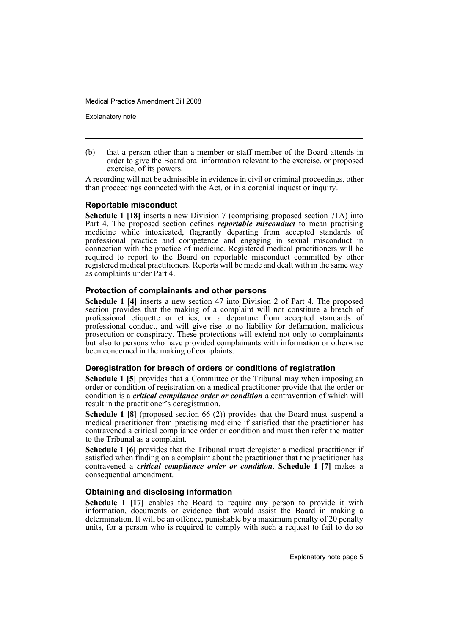Explanatory note

(b) that a person other than a member or staff member of the Board attends in order to give the Board oral information relevant to the exercise, or proposed exercise, of its powers.

A recording will not be admissible in evidence in civil or criminal proceedings, other than proceedings connected with the Act, or in a coronial inquest or inquiry.

### **Reportable misconduct**

**Schedule 1 [18]** inserts a new Division 7 (comprising proposed section 71A) into Part 4. The proposed section defines *reportable misconduct* to mean practising medicine while intoxicated, flagrantly departing from accepted standards of professional practice and competence and engaging in sexual misconduct in connection with the practice of medicine. Registered medical practitioners will be required to report to the Board on reportable misconduct committed by other registered medical practitioners. Reports will be made and dealt with in the same way as complaints under Part 4.

### **Protection of complainants and other persons**

**Schedule 1 [4]** inserts a new section 47 into Division 2 of Part 4. The proposed section provides that the making of a complaint will not constitute a breach of professional etiquette or ethics, or a departure from accepted standards of professional conduct, and will give rise to no liability for defamation, malicious prosecution or conspiracy. These protections will extend not only to complainants but also to persons who have provided complainants with information or otherwise been concerned in the making of complaints.

### **Deregistration for breach of orders or conditions of registration**

**Schedule 1 [5]** provides that a Committee or the Tribunal may when imposing an order or condition of registration on a medical practitioner provide that the order or condition is a *critical compliance order or condition* a contravention of which will result in the practitioner's deregistration.

**Schedule 1 [8]** (proposed section 66 (2)) provides that the Board must suspend a medical practitioner from practising medicine if satisfied that the practitioner has contravened a critical compliance order or condition and must then refer the matter to the Tribunal as a complaint.

**Schedule 1 [6]** provides that the Tribunal must deregister a medical practitioner if satisfied when finding on a complaint about the practitioner that the practitioner has contravened a *critical compliance order or condition*. **Schedule 1 [7]** makes a consequential amendment.

### **Obtaining and disclosing information**

**Schedule 1 [17]** enables the Board to require any person to provide it with information, documents or evidence that would assist the Board in making a determination. It will be an offence, punishable by a maximum penalty of 20 penalty units, for a person who is required to comply with such a request to fail to do so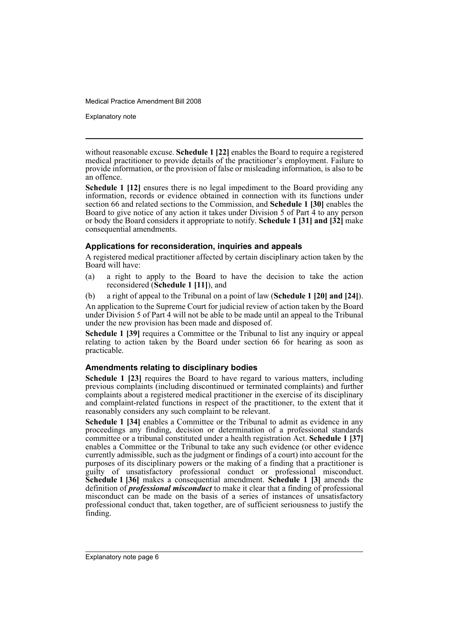Explanatory note

without reasonable excuse. **Schedule 1 [22]** enables the Board to require a registered medical practitioner to provide details of the practitioner's employment. Failure to provide information, or the provision of false or misleading information, is also to be an offence.

**Schedule 1 [12]** ensures there is no legal impediment to the Board providing any information, records or evidence obtained in connection with its functions under section 66 and related sections to the Commission, and **Schedule 1 [30]** enables the Board to give notice of any action it takes under Division 5 of Part 4 to any person or body the Board considers it appropriate to notify. **Schedule 1 [31] and [32]** make consequential amendments.

### **Applications for reconsideration, inquiries and appeals**

A registered medical practitioner affected by certain disciplinary action taken by the Board will have:

(a) a right to apply to the Board to have the decision to take the action reconsidered (**Schedule 1 [11]**), and

(b) a right of appeal to the Tribunal on a point of law (**Schedule 1 [20] and [24]**).

An application to the Supreme Court for judicial review of action taken by the Board under Division 5 of Part 4 will not be able to be made until an appeal to the Tribunal under the new provision has been made and disposed of.

**Schedule 1 [39]** requires a Committee or the Tribunal to list any inquiry or appeal relating to action taken by the Board under section 66 for hearing as soon as practicable.

### **Amendments relating to disciplinary bodies**

**Schedule 1 [23]** requires the Board to have regard to various matters, including previous complaints (including discontinued or terminated complaints) and further complaints about a registered medical practitioner in the exercise of its disciplinary and complaint-related functions in respect of the practitioner, to the extent that it reasonably considers any such complaint to be relevant.

**Schedule 1 [34]** enables a Committee or the Tribunal to admit as evidence in any proceedings any finding, decision or determination of a professional standards committee or a tribunal constituted under a health registration Act. **Schedule 1 [37]** enables a Committee or the Tribunal to take any such evidence (or other evidence currently admissible, such as the judgment or findings of a court) into account for the purposes of its disciplinary powers or the making of a finding that a practitioner is guilty of unsatisfactory professional conduct or professional misconduct. **Schedule 1 [36]** makes a consequential amendment. **Schedule 1 [3]** amends the definition of *professional misconduct* to make it clear that a finding of professional misconduct can be made on the basis of a series of instances of unsatisfactory professional conduct that, taken together, are of sufficient seriousness to justify the finding.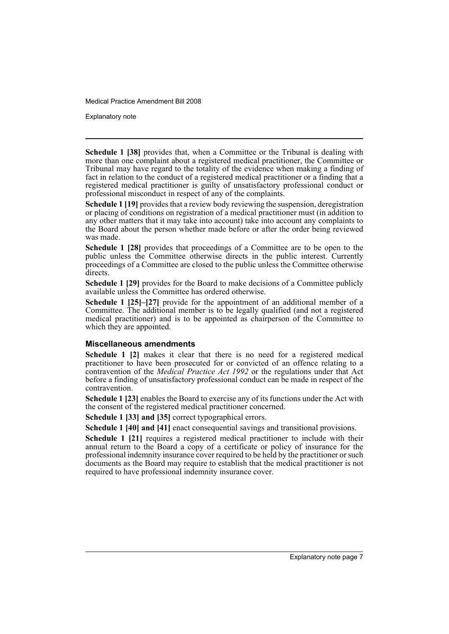Explanatory note

**Schedule 1 [38]** provides that, when a Committee or the Tribunal is dealing with more than one complaint about a registered medical practitioner, the Committee or Tribunal may have regard to the totality of the evidence when making a finding of fact in relation to the conduct of a registered medical practitioner or a finding that a registered medical practitioner is guilty of unsatisfactory professional conduct or professional misconduct in respect of any of the complaints.

**Schedule 1 [19]** provides that a review body reviewing the suspension, deregistration or placing of conditions on registration of a medical practitioner must (in addition to any other matters that it may take into account) take into account any complaints to the Board about the person whether made before or after the order being reviewed was made.

**Schedule 1 [28]** provides that proceedings of a Committee are to be open to the public unless the Committee otherwise directs in the public interest. Currently proceedings of a Committee are closed to the public unless the Committee otherwise directs.

**Schedule 1 [29]** provides for the Board to make decisions of a Committee publicly available unless the Committee has ordered otherwise.

**Schedule 1 [25]–[27]** provide for the appointment of an additional member of a Committee. The additional member is to be legally qualified (and not a registered medical practitioner) and is to be appointed as chairperson of the Committee to which they are appointed.

### **Miscellaneous amendments**

**Schedule 1 [2]** makes it clear that there is no need for a registered medical practitioner to have been prosecuted for or convicted of an offence relating to a contravention of the *Medical Practice Act 1992* or the regulations under that Act before a finding of unsatisfactory professional conduct can be made in respect of the contravention.

**Schedule 1 [23]** enables the Board to exercise any of its functions under the Act with the consent of the registered medical practitioner concerned.

**Schedule 1 [33] and [35]** correct typographical errors.

**Schedule 1 [40] and [41]** enact consequential savings and transitional provisions.

**Schedule 1 [21]** requires a registered medical practitioner to include with their annual return to the Board a copy of a certificate or policy of insurance for the professional indemnity insurance cover required to be held by the practitioner or such documents as the Board may require to establish that the medical practitioner is not required to have professional indemnity insurance cover.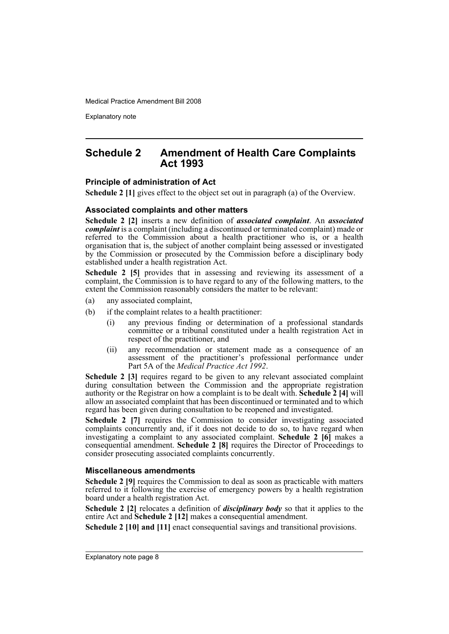Explanatory note

### **Schedule 2 Amendment of Health Care Complaints Act 1993**

### **Principle of administration of Act**

**Schedule 2 [1]** gives effect to the object set out in paragraph (a) of the Overview.

### **Associated complaints and other matters**

**Schedule 2 [2]** inserts a new definition of *associated complaint*. An *associated complaint* is a complaint (including a discontinued or terminated complaint) made or referred to the Commission about a health practitioner who is, or a health organisation that is, the subject of another complaint being assessed or investigated by the Commission or prosecuted by the Commission before a disciplinary body established under a health registration Act.

**Schedule 2 [5]** provides that in assessing and reviewing its assessment of a complaint, the Commission is to have regard to any of the following matters, to the extent the Commission reasonably considers the matter to be relevant:

- (a) any associated complaint,
- (b) if the complaint relates to a health practitioner:
	- (i) any previous finding or determination of a professional standards committee or a tribunal constituted under a health registration Act in respect of the practitioner, and
	- (ii) any recommendation or statement made as a consequence of an assessment of the practitioner's professional performance under Part 5A of the *Medical Practice Act 1992*.

**Schedule 2 [3]** requires regard to be given to any relevant associated complaint during consultation between the Commission and the appropriate registration authority or the Registrar on how a complaint is to be dealt with. **Schedule 2 [4]** will allow an associated complaint that has been discontinued or terminated and to which regard has been given during consultation to be reopened and investigated.

**Schedule 2 [7]** requires the Commission to consider investigating associated complaints concurrently and, if it does not decide to do so, to have regard when investigating a complaint to any associated complaint. **Schedule 2 [6]** makes a consequential amendment. **Schedule 2 [8]** requires the Director of Proceedings to consider prosecuting associated complaints concurrently.

### **Miscellaneous amendments**

**Schedule 2 [9]** requires the Commission to deal as soon as practicable with matters referred to it following the exercise of emergency powers by a health registration board under a health registration Act.

**Schedule 2** [2] relocates a definition of *disciplinary body* so that it applies to the entire Act and **Schedule 2 [12]** makes a consequential amendment.

**Schedule 2 [10] and [11]** enact consequential savings and transitional provisions.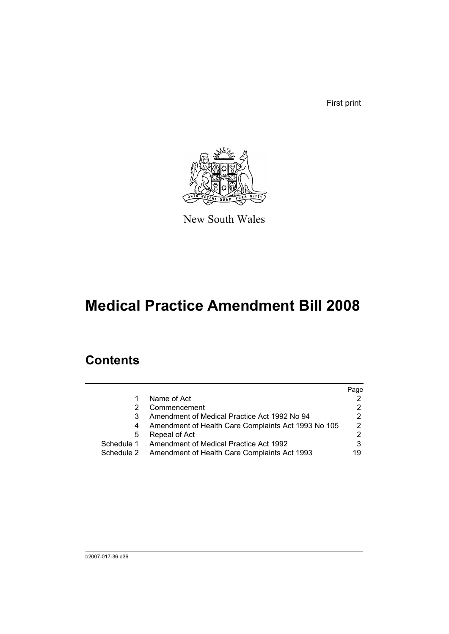First print



New South Wales

# **Medical Practice Amendment Bill 2008**

## **Contents**

|            |                                                     | Page          |
|------------|-----------------------------------------------------|---------------|
|            | Name of Act                                         |               |
|            | Commencement                                        | 2             |
|            | Amendment of Medical Practice Act 1992 No 94        | 2             |
|            | Amendment of Health Care Complaints Act 1993 No 105 | $\mathcal{P}$ |
| 5          | Repeal of Act                                       | 2             |
| Schedule 1 | Amendment of Medical Practice Act 1992              | 3             |
| Schedule 2 | Amendment of Health Care Complaints Act 1993        | 19            |
|            |                                                     |               |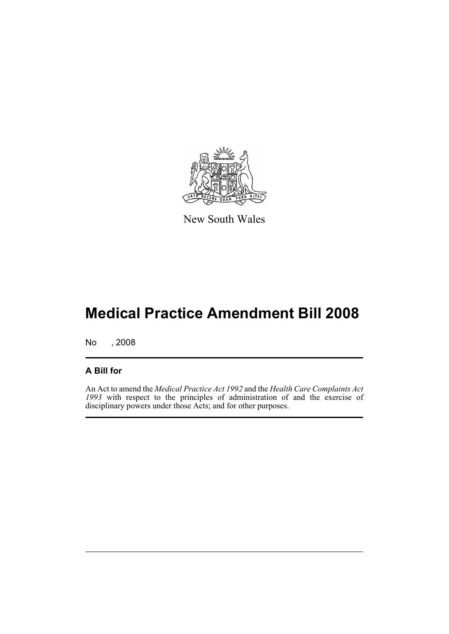

New South Wales

# **Medical Practice Amendment Bill 2008**

No , 2008

### **A Bill for**

An Act to amend the *Medical Practice Act 1992* and the *Health Care Complaints Act 1993* with respect to the principles of administration of and the exercise of disciplinary powers under those Acts; and for other purposes.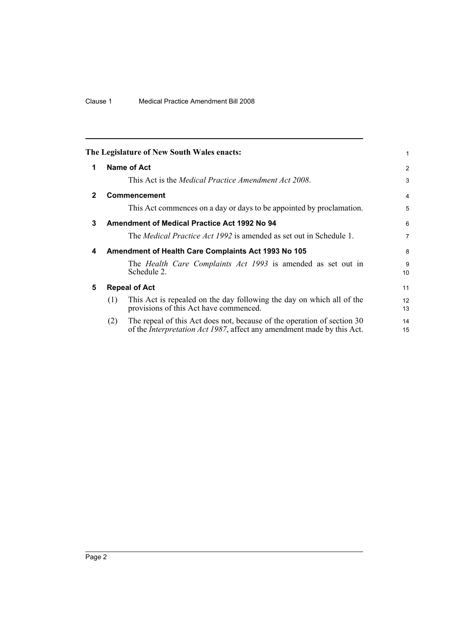<span id="page-11-4"></span><span id="page-11-3"></span><span id="page-11-2"></span><span id="page-11-1"></span><span id="page-11-0"></span>

|              |     | The Legislature of New South Wales enacts:                                                                                                                | 1                    |
|--------------|-----|-----------------------------------------------------------------------------------------------------------------------------------------------------------|----------------------|
| 1            |     | Name of Act                                                                                                                                               | 2                    |
|              |     | This Act is the <i>Medical Practice Amendment Act 2008</i> .                                                                                              | 3                    |
| $\mathbf{2}$ |     | Commencement                                                                                                                                              | 4                    |
|              |     | This Act commences on a day or days to be appointed by proclamation.                                                                                      | 5                    |
| 3            |     | <b>Amendment of Medical Practice Act 1992 No 94</b>                                                                                                       | 6                    |
|              |     | The <i>Medical Practice Act 1992</i> is amended as set out in Schedule 1.                                                                                 | $\overline{7}$       |
| 4            |     | Amendment of Health Care Complaints Act 1993 No 105                                                                                                       | 8                    |
|              |     | The <i>Health Care Complaints Act 1993</i> is amended as set out in<br>Schedule 2.                                                                        | 9<br>10 <sup>1</sup> |
| 5            |     | <b>Repeal of Act</b>                                                                                                                                      | 11                   |
|              | (1) | This Act is repealed on the day following the day on which all of the<br>provisions of this Act have commenced.                                           | 12<br>13             |
|              | (2) | The repeal of this Act does not, because of the operation of section 30<br>of the <i>Interpretation Act 1987</i> , affect any amendment made by this Act. | 14<br>15             |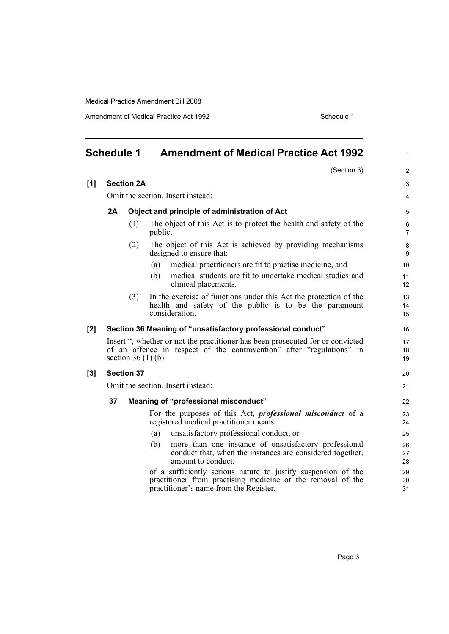Amendment of Medical Practice Act 1992 **Schedule 1** Schedule 1

<span id="page-12-0"></span>

| <b>Schedule 1</b> |    |                   | <b>Amendment of Medical Practice Act 1992</b>                                                                                                                                   |                       |  |
|-------------------|----|-------------------|---------------------------------------------------------------------------------------------------------------------------------------------------------------------------------|-----------------------|--|
|                   |    |                   | (Section 3)                                                                                                                                                                     | $\overline{2}$        |  |
| [1]               |    | <b>Section 2A</b> |                                                                                                                                                                                 | 3                     |  |
|                   |    |                   | Omit the section. Insert instead:                                                                                                                                               | 4                     |  |
|                   | 2A |                   | Object and principle of administration of Act                                                                                                                                   | 5                     |  |
|                   |    | (1)               | The object of this Act is to protect the health and safety of the<br>public.                                                                                                    | 6<br>$\overline{7}$   |  |
|                   |    | (2)               | The object of this Act is achieved by providing mechanisms<br>designed to ensure that:                                                                                          | 8<br>9                |  |
|                   |    |                   | medical practitioners are fit to practise medicine, and<br>(a)                                                                                                                  | 10 <sup>°</sup>       |  |
|                   |    |                   | medical students are fit to undertake medical studies and<br>(b)<br>clinical placements.                                                                                        | 11<br>12 <sup>2</sup> |  |
|                   |    | (3)               | In the exercise of functions under this Act the protection of the<br>health and safety of the public is to be the paramount<br>consideration.                                   | 13<br>14<br>15        |  |
| [2]               |    |                   | Section 36 Meaning of "unsatisfactory professional conduct"                                                                                                                     | 16                    |  |
|                   |    |                   | Insert ", whether or not the practitioner has been prosecuted for or convicted<br>of an offence in respect of the contravention" after "regulations" in<br>section $36(1)$ (b). | 17<br>18<br>19        |  |
| $[3]$             |    | <b>Section 37</b> |                                                                                                                                                                                 | 20                    |  |
|                   |    |                   | Omit the section. Insert instead:                                                                                                                                               | 21                    |  |
|                   | 37 |                   | Meaning of "professional misconduct"                                                                                                                                            | 22                    |  |
|                   |    |                   | For the purposes of this Act, <i>professional misconduct</i> of a<br>registered medical practitioner means:                                                                     | 23<br>24              |  |
|                   |    |                   | unsatisfactory professional conduct, or<br>(a)                                                                                                                                  | 25                    |  |
|                   |    |                   | more than one instance of unsatisfactory professional<br>(b)<br>conduct that, when the instances are considered together,<br>amount to conduct,                                 | 26<br>27<br>28        |  |
|                   |    |                   | of a sufficiently serious nature to justify suspension of the<br>practitioner from practising medicine or the removal of the<br>practitioner's name from the Register.          | 29<br>30<br>31        |  |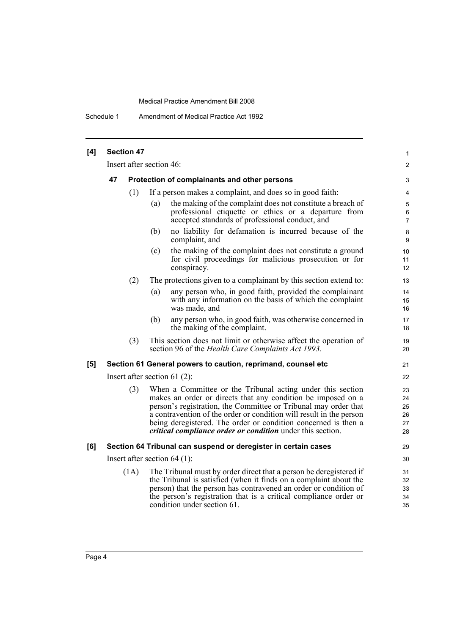Schedule 1 Amendment of Medical Practice Act 1992

| [4] | <b>Section 47</b> |      |                          |                                                                                                                                                                                                                                                                                                                                                                                                             |                                  |  |
|-----|-------------------|------|--------------------------|-------------------------------------------------------------------------------------------------------------------------------------------------------------------------------------------------------------------------------------------------------------------------------------------------------------------------------------------------------------------------------------------------------------|----------------------------------|--|
|     |                   |      | Insert after section 46: |                                                                                                                                                                                                                                                                                                                                                                                                             | 2                                |  |
|     | 47                |      |                          | Protection of complainants and other persons                                                                                                                                                                                                                                                                                                                                                                | 3                                |  |
|     |                   | (1)  |                          | If a person makes a complaint, and does so in good faith:                                                                                                                                                                                                                                                                                                                                                   | 4                                |  |
|     |                   |      | (a)                      | the making of the complaint does not constitute a breach of<br>professional etiquette or ethics or a departure from<br>accepted standards of professional conduct, and                                                                                                                                                                                                                                      | 5<br>6<br>$\overline{7}$         |  |
|     |                   |      | (b)                      | no liability for defamation is incurred because of the<br>complaint, and                                                                                                                                                                                                                                                                                                                                    | 8<br>9                           |  |
|     |                   |      | (c)                      | the making of the complaint does not constitute a ground<br>for civil proceedings for malicious prosecution or for<br>conspiracy.                                                                                                                                                                                                                                                                           | 10<br>11<br>12                   |  |
|     |                   | (2)  |                          | The protections given to a complainant by this section extend to:                                                                                                                                                                                                                                                                                                                                           | 13                               |  |
|     |                   |      | (a)                      | any person who, in good faith, provided the complainant<br>with any information on the basis of which the complaint<br>was made, and                                                                                                                                                                                                                                                                        | 14<br>15<br>16                   |  |
|     |                   |      | (b)                      | any person who, in good faith, was otherwise concerned in<br>the making of the complaint.                                                                                                                                                                                                                                                                                                                   | 17<br>18                         |  |
|     |                   | (3)  |                          | This section does not limit or otherwise affect the operation of<br>section 96 of the Health Care Complaints Act 1993.                                                                                                                                                                                                                                                                                      | 19<br>20                         |  |
| [5] |                   |      |                          | Section 61 General powers to caution, reprimand, counsel etc                                                                                                                                                                                                                                                                                                                                                | 21                               |  |
|     |                   |      |                          | Insert after section 61 $(2)$ :                                                                                                                                                                                                                                                                                                                                                                             | 22                               |  |
|     |                   | (3)  |                          | When a Committee or the Tribunal acting under this section<br>makes an order or directs that any condition be imposed on a<br>person's registration, the Committee or Tribunal may order that<br>a contravention of the order or condition will result in the person<br>being deregistered. The order or condition concerned is then a<br><i>critical compliance order or condition</i> under this section. | 23<br>24<br>25<br>26<br>27<br>28 |  |
| [6] |                   |      |                          | Section 64 Tribunal can suspend or deregister in certain cases                                                                                                                                                                                                                                                                                                                                              | 29                               |  |
|     |                   |      |                          | Insert after section $64$ (1):                                                                                                                                                                                                                                                                                                                                                                              | 30                               |  |
|     |                   | (1A) |                          | The Tribunal must by order direct that a person be deregistered if<br>the Tribunal is satisfied (when it finds on a complaint about the<br>person) that the person has contravened an order or condition of<br>the person's registration that is a critical compliance order or<br>condition under section 61.                                                                                              | 31<br>32<br>33<br>34<br>35       |  |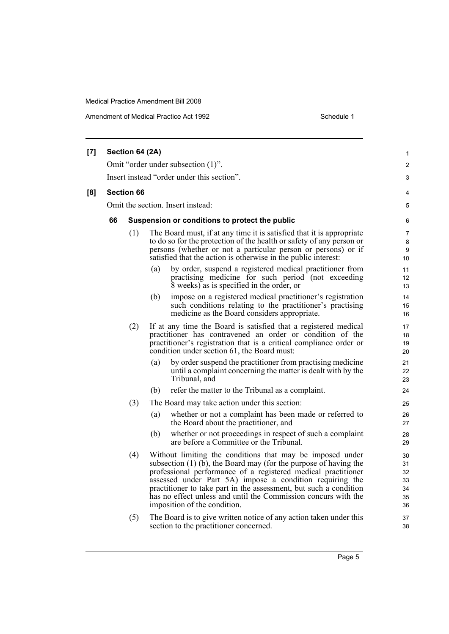Amendment of Medical Practice Act 1992 **Schedule 1** Schedule 1

|     |                                                                                  | Section 64 (2A)   |     |                                                                                                                                                                                                                                                                                                                                                                                                                                     |                                        |  |  |  |
|-----|----------------------------------------------------------------------------------|-------------------|-----|-------------------------------------------------------------------------------------------------------------------------------------------------------------------------------------------------------------------------------------------------------------------------------------------------------------------------------------------------------------------------------------------------------------------------------------|----------------------------------------|--|--|--|
| [7] |                                                                                  |                   |     |                                                                                                                                                                                                                                                                                                                                                                                                                                     | 1<br>2                                 |  |  |  |
|     | Omit "order under subsection (1)".<br>Insert instead "order under this section". |                   |     |                                                                                                                                                                                                                                                                                                                                                                                                                                     |                                        |  |  |  |
|     |                                                                                  |                   |     |                                                                                                                                                                                                                                                                                                                                                                                                                                     | 3                                      |  |  |  |
| [8] |                                                                                  | <b>Section 66</b> |     |                                                                                                                                                                                                                                                                                                                                                                                                                                     | 4                                      |  |  |  |
|     |                                                                                  |                   |     | Omit the section. Insert instead:                                                                                                                                                                                                                                                                                                                                                                                                   | 5                                      |  |  |  |
|     | 66                                                                               |                   |     | Suspension or conditions to protect the public                                                                                                                                                                                                                                                                                                                                                                                      | 6                                      |  |  |  |
|     |                                                                                  | (1)               |     | The Board must, if at any time it is satisfied that it is appropriate<br>to do so for the protection of the health or safety of any person or<br>persons (whether or not a particular person or persons) or if<br>satisfied that the action is otherwise in the public interest:                                                                                                                                                    | $\overline{7}$<br>8<br>9<br>10         |  |  |  |
|     |                                                                                  |                   | (a) | by order, suspend a registered medical practitioner from<br>practising medicine for such period (not exceeding<br>8 weeks) as is specified in the order, or                                                                                                                                                                                                                                                                         | 11<br>12<br>13                         |  |  |  |
|     |                                                                                  |                   | (b) | impose on a registered medical practitioner's registration<br>such conditions relating to the practitioner's practising<br>medicine as the Board considers appropriate.                                                                                                                                                                                                                                                             | 14<br>15<br>16                         |  |  |  |
|     |                                                                                  | (2)               |     | If at any time the Board is satisfied that a registered medical<br>practitioner has contravened an order or condition of the<br>practitioner's registration that is a critical compliance order or<br>condition under section 61, the Board must:                                                                                                                                                                                   | 17<br>18<br>19<br>20                   |  |  |  |
|     |                                                                                  |                   | (a) | by order suspend the practitioner from practising medicine<br>until a complaint concerning the matter is dealt with by the<br>Tribunal, and                                                                                                                                                                                                                                                                                         | 21<br>22<br>23                         |  |  |  |
|     |                                                                                  |                   | (b) | refer the matter to the Tribunal as a complaint.                                                                                                                                                                                                                                                                                                                                                                                    | 24                                     |  |  |  |
|     |                                                                                  | (3)               |     | The Board may take action under this section:                                                                                                                                                                                                                                                                                                                                                                                       | 25                                     |  |  |  |
|     |                                                                                  |                   | (a) | whether or not a complaint has been made or referred to<br>the Board about the practitioner, and                                                                                                                                                                                                                                                                                                                                    | 26<br>27                               |  |  |  |
|     |                                                                                  |                   | (b) | whether or not proceedings in respect of such a complaint<br>are before a Committee or the Tribunal.                                                                                                                                                                                                                                                                                                                                | 28<br>29                               |  |  |  |
|     |                                                                                  | (4)               |     | Without limiting the conditions that may be imposed under<br>subsection $(1)$ (b), the Board may (for the purpose of having the<br>professional performance of a registered medical practitioner<br>assessed under Part 5A) impose a condition requiring the<br>practitioner to take part in the assessment, but such a condition<br>has no effect unless and until the Commission concurs with the<br>imposition of the condition. | 30<br>31<br>32<br>33<br>34<br>35<br>36 |  |  |  |
|     |                                                                                  | (5)               |     | The Board is to give written notice of any action taken under this<br>section to the practitioner concerned.                                                                                                                                                                                                                                                                                                                        | 37<br>38                               |  |  |  |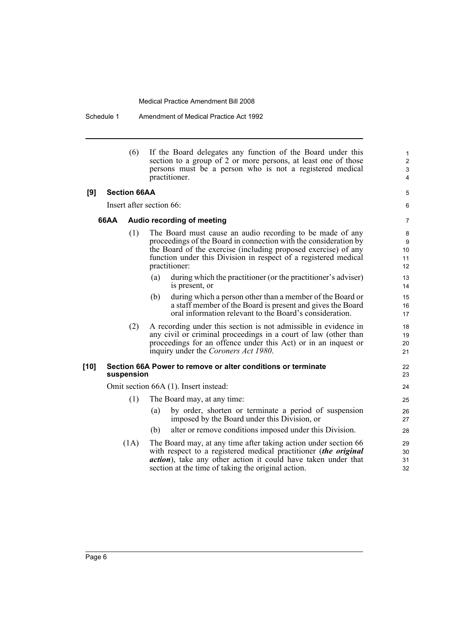Schedule 1 Amendment of Medical Practice Act 1992

|        |                     | (6) | If the Board delegates any function of the Board under this<br>section to a group of 2 or more persons, at least one of those<br>persons must be a person who is not a registered medical<br>practitioner.                                                                          | 1<br>$\overline{\mathbf{c}}$<br>3<br>4 |
|--------|---------------------|-----|-------------------------------------------------------------------------------------------------------------------------------------------------------------------------------------------------------------------------------------------------------------------------------------|----------------------------------------|
| [9]    | <b>Section 66AA</b> |     |                                                                                                                                                                                                                                                                                     | 5                                      |
|        |                     |     | Insert after section 66:                                                                                                                                                                                                                                                            | 6                                      |
| 66AA   |                     |     | Audio recording of meeting                                                                                                                                                                                                                                                          | 7                                      |
|        |                     | (1) | The Board must cause an audio recording to be made of any<br>proceedings of the Board in connection with the consideration by<br>the Board of the exercise (including proposed exercise) of any<br>function under this Division in respect of a registered medical<br>practitioner: | 8<br>9<br>10<br>11<br>12               |
|        |                     |     | (a)<br>during which the practitioner (or the practitioner's adviser)<br>is present, or                                                                                                                                                                                              | 13<br>14                               |
|        |                     |     | during which a person other than a member of the Board or<br>(b)<br>a staff member of the Board is present and gives the Board<br>oral information relevant to the Board's consideration.                                                                                           | 15<br>16<br>17                         |
|        |                     | (2) | A recording under this section is not admissible in evidence in<br>any civil or criminal proceedings in a court of law (other than<br>proceedings for an offence under this Act) or in an inquest or<br>inquiry under the Coroners Act 1980.                                        | 18<br>19<br>20<br>21                   |
| $[10]$ | suspension          |     | Section 66A Power to remove or alter conditions or terminate                                                                                                                                                                                                                        | 22<br>23                               |
|        |                     |     | Omit section 66A (1). Insert instead:                                                                                                                                                                                                                                               | 24                                     |
|        |                     | (1) | The Board may, at any time:                                                                                                                                                                                                                                                         | 25                                     |
|        |                     |     | by order, shorten or terminate a period of suspension<br>(a)<br>imposed by the Board under this Division, or                                                                                                                                                                        | 26<br>27                               |
|        |                     |     | alter or remove conditions imposed under this Division.<br>(b)                                                                                                                                                                                                                      | 28                                     |
|        | (1A)                |     | The Board may, at any time after taking action under section 66<br>with respect to a registered medical practitioner (the original<br><i>action</i> ), take any other action it could have taken under that<br>section at the time of taking the original action.                   | 29<br>30<br>31<br>32                   |
|        |                     |     |                                                                                                                                                                                                                                                                                     |                                        |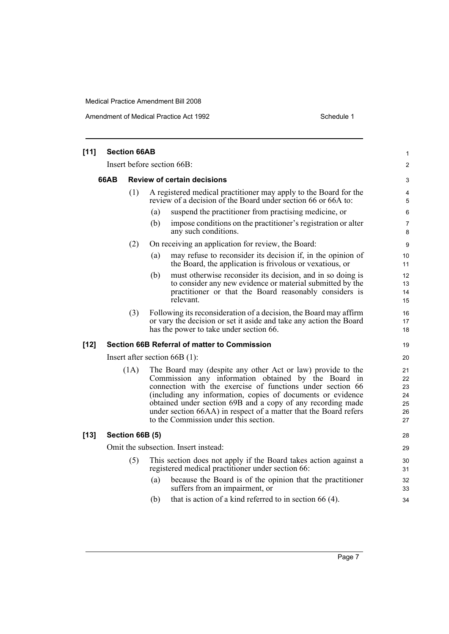Amendment of Medical Practice Act 1992 **Schedule 1** Schedule 1

| $[11]$ | <b>Section 66AB</b> |                 |                                                                                                                                                                                                                                                                                                                                                                                                                             |                                        |  |
|--------|---------------------|-----------------|-----------------------------------------------------------------------------------------------------------------------------------------------------------------------------------------------------------------------------------------------------------------------------------------------------------------------------------------------------------------------------------------------------------------------------|----------------------------------------|--|
|        |                     |                 | Insert before section 66B:                                                                                                                                                                                                                                                                                                                                                                                                  | $\overline{2}$                         |  |
|        | 66AB                |                 | <b>Review of certain decisions</b>                                                                                                                                                                                                                                                                                                                                                                                          | 3                                      |  |
|        |                     | (1)             | A registered medical practitioner may apply to the Board for the<br>review of a decision of the Board under section 66 or 66A to:                                                                                                                                                                                                                                                                                           |                                        |  |
|        |                     |                 | suspend the practitioner from practising medicine, or<br>(a)                                                                                                                                                                                                                                                                                                                                                                | 6                                      |  |
|        |                     |                 | impose conditions on the practitioner's registration or alter<br>(b)<br>any such conditions.                                                                                                                                                                                                                                                                                                                                | $\overline{7}$<br>8                    |  |
|        |                     | (2)             | On receiving an application for review, the Board:                                                                                                                                                                                                                                                                                                                                                                          | 9                                      |  |
|        |                     |                 | may refuse to reconsider its decision if, in the opinion of<br>(a)<br>the Board, the application is frivolous or vexatious, or                                                                                                                                                                                                                                                                                              | 10<br>11                               |  |
|        |                     |                 | must otherwise reconsider its decision, and in so doing is<br>(b)<br>to consider any new evidence or material submitted by the<br>practitioner or that the Board reasonably considers is<br>relevant.                                                                                                                                                                                                                       | 12<br>13<br>14<br>15                   |  |
|        |                     | (3)             | Following its reconsideration of a decision, the Board may affirm<br>or vary the decision or set it aside and take any action the Board<br>has the power to take under section 66.                                                                                                                                                                                                                                          | 16<br>17<br>18                         |  |
| $[12]$ |                     |                 | <b>Section 66B Referral of matter to Commission</b>                                                                                                                                                                                                                                                                                                                                                                         | 19                                     |  |
|        |                     |                 | Insert after section $66B(1)$ :                                                                                                                                                                                                                                                                                                                                                                                             | 20                                     |  |
|        |                     | (1A)            | The Board may (despite any other Act or law) provide to the<br>Commission any information obtained by the Board in<br>connection with the exercise of functions under section 66<br>(including any information, copies of documents or evidence<br>obtained under section 69B and a copy of any recording made<br>under section 66AA) in respect of a matter that the Board refers<br>to the Commission under this section. | 21<br>22<br>23<br>24<br>25<br>26<br>27 |  |
| $[13]$ |                     | Section 66B (5) |                                                                                                                                                                                                                                                                                                                                                                                                                             | 28                                     |  |
|        |                     |                 | Omit the subsection. Insert instead:                                                                                                                                                                                                                                                                                                                                                                                        | 29                                     |  |
|        | (5)                 |                 | This section does not apply if the Board takes action against a<br>registered medical practitioner under section 66:                                                                                                                                                                                                                                                                                                        |                                        |  |
|        |                     |                 | because the Board is of the opinion that the practitioner<br>(a)<br>suffers from an impairment, or                                                                                                                                                                                                                                                                                                                          | 32<br>33                               |  |
|        |                     |                 | that is action of a kind referred to in section $66(4)$ .<br>(b)                                                                                                                                                                                                                                                                                                                                                            | 34                                     |  |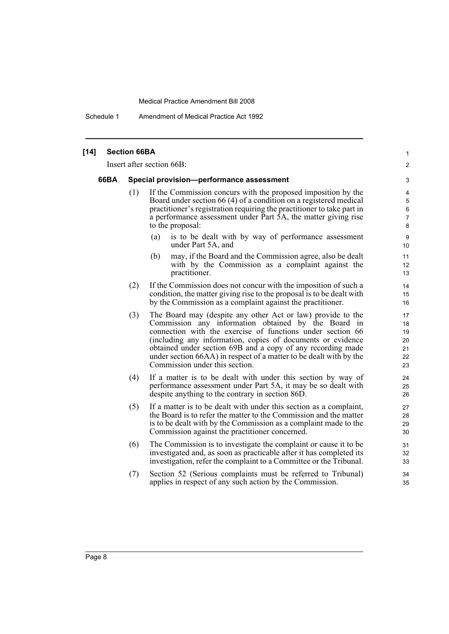Schedule 1 Amendment of Medical Practice Act 1992

| $[14]$ |      | <b>Section 66BA</b>       |                                                                                                                                                                                                                                                                                                                                                                                                                        | $\mathbf{1}$                                       |  |  |  |  |
|--------|------|---------------------------|------------------------------------------------------------------------------------------------------------------------------------------------------------------------------------------------------------------------------------------------------------------------------------------------------------------------------------------------------------------------------------------------------------------------|----------------------------------------------------|--|--|--|--|
|        |      | Insert after section 66B: |                                                                                                                                                                                                                                                                                                                                                                                                                        |                                                    |  |  |  |  |
|        | 66BA |                           | Special provision--performance assessment                                                                                                                                                                                                                                                                                                                                                                              | 3                                                  |  |  |  |  |
|        |      | (1)                       | If the Commission concurs with the proposed imposition by the<br>Board under section 66 (4) of a condition on a registered medical<br>practitioner's registration requiring the practitioner to take part in<br>a performance assessment under Part 5A, the matter giving rise<br>to the proposal:                                                                                                                     | 4<br>$\mathbf 5$<br>$\,6\,$<br>$\overline{7}$<br>8 |  |  |  |  |
|        |      |                           | is to be dealt with by way of performance assessment<br>(a)<br>under Part 5A, and                                                                                                                                                                                                                                                                                                                                      | $\boldsymbol{9}$<br>10                             |  |  |  |  |
|        |      |                           | may, if the Board and the Commission agree, also be dealt<br>(b)<br>with by the Commission as a complaint against the<br>practitioner.                                                                                                                                                                                                                                                                                 | 11<br>12<br>13                                     |  |  |  |  |
|        |      | (2)                       | If the Commission does not concur with the imposition of such a<br>condition, the matter giving rise to the proposal is to be dealt with<br>by the Commission as a complaint against the practitioner.                                                                                                                                                                                                                 | 14<br>15<br>16                                     |  |  |  |  |
|        |      | (3)                       | The Board may (despite any other Act or law) provide to the<br>Commission any information obtained by the Board in<br>connection with the exercise of functions under section 66<br>(including any information, copies of documents or evidence<br>obtained under section 69B and a copy of any recording made<br>under section 66AA) in respect of a matter to be dealt with by the<br>Commission under this section. | 17<br>18<br>19<br>20<br>21<br>22<br>23             |  |  |  |  |
|        |      | (4)                       | If a matter is to be dealt with under this section by way of<br>performance assessment under Part 5A, it may be so dealt with<br>despite anything to the contrary in section 86D.                                                                                                                                                                                                                                      | 24<br>25<br>26                                     |  |  |  |  |
|        |      | (5)                       | If a matter is to be dealt with under this section as a complaint,<br>the Board is to refer the matter to the Commission and the matter<br>is to be dealt with by the Commission as a complaint made to the<br>Commission against the practitioner concerned.                                                                                                                                                          | 27<br>28<br>29<br>30                               |  |  |  |  |
|        |      | (6)                       | The Commission is to investigate the complaint or cause it to be.<br>investigated and, as soon as practicable after it has completed its<br>investigation, refer the complaint to a Committee or the Tribunal.                                                                                                                                                                                                         | 31<br>32<br>33                                     |  |  |  |  |
|        |      | (7)                       | Section 52 (Serious complaints must be referred to Tribunal)<br>applies in respect of any such action by the Commission.                                                                                                                                                                                                                                                                                               | 34<br>35                                           |  |  |  |  |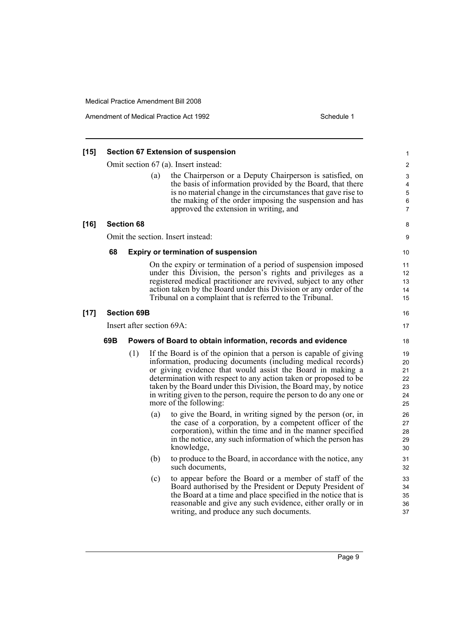Amendment of Medical Practice Act 1992 **Schedule 1** Schedule 1

| $[15]$ | <b>Section 67 Extension of suspension</b> |                   |                           |                                                                                                                                                                                                                                                                                                                                                                                                                                          |                                        |  |  |
|--------|-------------------------------------------|-------------------|---------------------------|------------------------------------------------------------------------------------------------------------------------------------------------------------------------------------------------------------------------------------------------------------------------------------------------------------------------------------------------------------------------------------------------------------------------------------------|----------------------------------------|--|--|
|        |                                           |                   |                           | Omit section 67 (a). Insert instead:                                                                                                                                                                                                                                                                                                                                                                                                     | $\overline{\mathbf{c}}$                |  |  |
|        |                                           |                   | (a)                       | the Chairperson or a Deputy Chairperson is satisfied, on<br>the basis of information provided by the Board, that there<br>is no material change in the circumstances that gave rise to<br>the making of the order imposing the suspension and has<br>approved the extension in writing, and                                                                                                                                              | 3<br>4<br>5<br>6<br>7                  |  |  |
| $[16]$ |                                           | <b>Section 68</b> |                           |                                                                                                                                                                                                                                                                                                                                                                                                                                          | 8                                      |  |  |
|        |                                           |                   |                           | Omit the section. Insert instead:                                                                                                                                                                                                                                                                                                                                                                                                        | 9                                      |  |  |
|        | 68                                        |                   |                           | <b>Expiry or termination of suspension</b>                                                                                                                                                                                                                                                                                                                                                                                               | 10                                     |  |  |
|        |                                           |                   |                           | On the expiry or termination of a period of suspension imposed<br>under this Division, the person's rights and privileges as a<br>registered medical practitioner are revived, subject to any other<br>action taken by the Board under this Division or any order of the<br>Tribunal on a complaint that is referred to the Tribunal.                                                                                                    | 11<br>12<br>13<br>14<br>15             |  |  |
| $[17]$ | <b>Section 69B</b>                        |                   |                           |                                                                                                                                                                                                                                                                                                                                                                                                                                          | 16                                     |  |  |
|        |                                           |                   | Insert after section 69A: |                                                                                                                                                                                                                                                                                                                                                                                                                                          |                                        |  |  |
|        | 69B                                       |                   |                           | Powers of Board to obtain information, records and evidence                                                                                                                                                                                                                                                                                                                                                                              | 18                                     |  |  |
|        |                                           | (1)               |                           | If the Board is of the opinion that a person is capable of giving<br>information, producing documents (including medical records)<br>or giving evidence that would assist the Board in making a<br>determination with respect to any action taken or proposed to be<br>taken by the Board under this Division, the Board may, by notice<br>in writing given to the person, require the person to do any one or<br>more of the following: | 19<br>20<br>21<br>22<br>23<br>24<br>25 |  |  |
|        |                                           |                   | (a)                       | to give the Board, in writing signed by the person (or, in<br>the case of a corporation, by a competent officer of the<br>corporation), within the time and in the manner specified<br>in the notice, any such information of which the person has<br>knowledge,                                                                                                                                                                         | 26<br>27<br>28<br>29<br>30             |  |  |
|        |                                           |                   | (b)                       | to produce to the Board, in accordance with the notice, any<br>such documents.                                                                                                                                                                                                                                                                                                                                                           | 31<br>32                               |  |  |
|        |                                           |                   | (c)                       | to appear before the Board or a member of staff of the<br>Board authorised by the President or Deputy President of<br>the Board at a time and place specified in the notice that is<br>reasonable and give any such evidence, either orally or in<br>writing, and produce any such documents.                                                                                                                                            | 33<br>34<br>35<br>36<br>37             |  |  |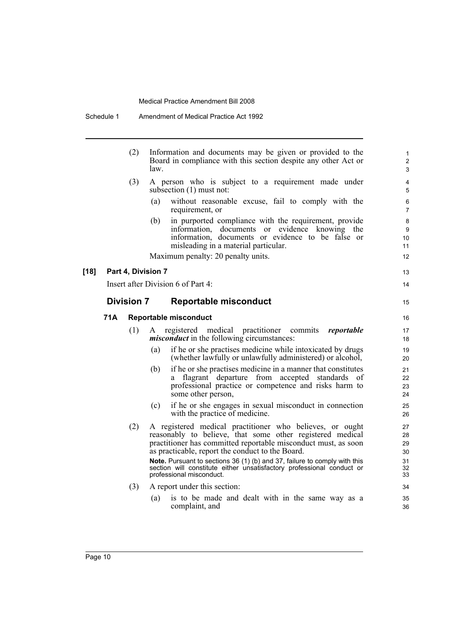|     | (2)                | Information and documents may be given or provided to the<br>Board in compliance with this section despite any other Act or<br>law                                                                                                                                                                                       | $\mathbf{1}$<br>$\overline{c}$<br>3 |
|-----|--------------------|--------------------------------------------------------------------------------------------------------------------------------------------------------------------------------------------------------------------------------------------------------------------------------------------------------------------------|-------------------------------------|
|     | (3)                | A person who is subject to a requirement made under<br>subsection (1) must not:                                                                                                                                                                                                                                          | 4<br>$\overline{5}$                 |
|     |                    | without reasonable excuse, fail to comply with the<br>(a)<br>requirement, or                                                                                                                                                                                                                                             | 6<br>$\overline{7}$                 |
|     |                    | in purported compliance with the requirement, provide<br>(b)<br>information, documents or evidence knowing the<br>information, documents or evidence to be false or<br>misleading in a material particular.                                                                                                              | 8<br>9<br>10<br>11                  |
|     |                    | Maximum penalty: 20 penalty units.                                                                                                                                                                                                                                                                                       | 12                                  |
|     | Part 4, Division 7 |                                                                                                                                                                                                                                                                                                                          | 13                                  |
|     |                    | Insert after Division 6 of Part 4:                                                                                                                                                                                                                                                                                       | 14                                  |
|     | <b>Division 7</b>  | <b>Reportable misconduct</b>                                                                                                                                                                                                                                                                                             | 15                                  |
| 71A |                    | <b>Reportable misconduct</b>                                                                                                                                                                                                                                                                                             | 16                                  |
|     | (1)                | medical<br>practitioner<br>registered<br>commits<br>reportable<br>A<br><i>misconduct</i> in the following circumstances:                                                                                                                                                                                                 | 17<br>18                            |
|     |                    | if he or she practises medicine while intoxicated by drugs<br>(a)<br>(whether lawfully or unlawfully administered) or alcohol,                                                                                                                                                                                           | 19<br>20                            |
|     |                    | if he or she practises medicine in a manner that constitutes<br>(b)<br>flagrant departure from accepted standards of<br>a.<br>professional practice or competence and risks harm to<br>some other person,                                                                                                                | 21<br>22<br>23<br>24                |
|     |                    | if he or she engages in sexual misconduct in connection<br>(c)<br>with the practice of medicine.                                                                                                                                                                                                                         | 25<br>26                            |
|     | (2)                | A registered medical practitioner who believes, or ought<br>reasonably to believe, that some other registered medical<br>practitioner has committed reportable misconduct must, as soon<br>as practicable, report the conduct to the Board.<br>Note. Pursuant to sections 36 (1) (b) and 37, failure to comply with this | 27<br>28<br>29<br>30<br>31          |
|     |                    | section will constitute either unsatisfactory professional conduct or<br>professional misconduct.                                                                                                                                                                                                                        | 32<br>33                            |
|     | (3)                | A report under this section:                                                                                                                                                                                                                                                                                             | 34                                  |
|     |                    | is to be made and dealt with in the same way as a<br>(a)<br>complaint, and                                                                                                                                                                                                                                               | 35<br>36                            |

**[18]**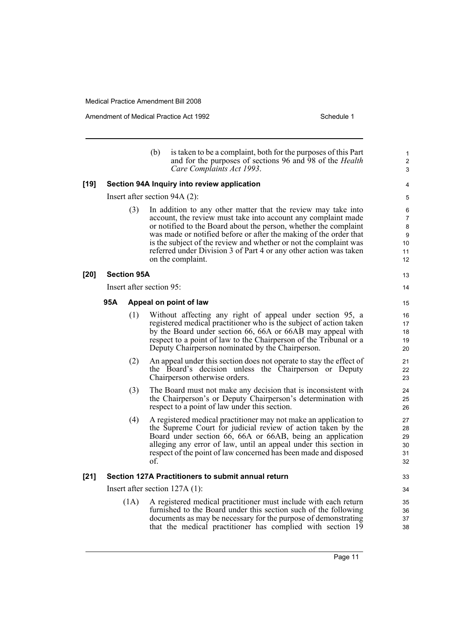Amendment of Medical Practice Act 1992 **Schedule 1** Schedule 1

|        |     |                          | (b)                                                                                                                                                                                                                                                                                                                                                                                                                                    | is taken to be a complaint, both for the purposes of this Part<br>and for the purposes of sections 96 and 98 of the <i>Health</i><br>Care Complaints Act 1993.                                                                                                                                                                        | 1<br>$\overline{\mathbf{c}}$<br>3               |
|--------|-----|--------------------------|----------------------------------------------------------------------------------------------------------------------------------------------------------------------------------------------------------------------------------------------------------------------------------------------------------------------------------------------------------------------------------------------------------------------------------------|---------------------------------------------------------------------------------------------------------------------------------------------------------------------------------------------------------------------------------------------------------------------------------------------------------------------------------------|-------------------------------------------------|
| $[19]$ |     |                          |                                                                                                                                                                                                                                                                                                                                                                                                                                        | Section 94A Inquiry into review application                                                                                                                                                                                                                                                                                           | 4                                               |
|        |     |                          |                                                                                                                                                                                                                                                                                                                                                                                                                                        | Insert after section $94A(2)$ :                                                                                                                                                                                                                                                                                                       | 5                                               |
|        | (3) |                          | In addition to any other matter that the review may take into<br>account, the review must take into account any complaint made<br>or notified to the Board about the person, whether the complaint<br>was made or notified before or after the making of the order that<br>is the subject of the review and whether or not the complaint was<br>referred under Division 3 of Part 4 or any other action was taken<br>on the complaint. |                                                                                                                                                                                                                                                                                                                                       | 6<br>$\overline{7}$<br>8<br>9<br>10<br>11<br>12 |
| [20]   |     | <b>Section 95A</b>       |                                                                                                                                                                                                                                                                                                                                                                                                                                        |                                                                                                                                                                                                                                                                                                                                       | 13                                              |
|        |     | Insert after section 95: |                                                                                                                                                                                                                                                                                                                                                                                                                                        |                                                                                                                                                                                                                                                                                                                                       | 14                                              |
|        | 95A |                          |                                                                                                                                                                                                                                                                                                                                                                                                                                        | Appeal on point of law                                                                                                                                                                                                                                                                                                                | 15                                              |
|        |     | (1)                      |                                                                                                                                                                                                                                                                                                                                                                                                                                        | Without affecting any right of appeal under section 95, a<br>registered medical practitioner who is the subject of action taken<br>by the Board under section 66, 66A or 66AB may appeal with<br>respect to a point of law to the Chairperson of the Tribunal or a<br>Deputy Chairperson nominated by the Chairperson.                | 16<br>17<br>18<br>19<br>20                      |
|        |     | (2)                      |                                                                                                                                                                                                                                                                                                                                                                                                                                        | An appeal under this section does not operate to stay the effect of<br>the Board's decision unless the Chairperson or Deputy<br>Chairperson otherwise orders.                                                                                                                                                                         | 21<br>22<br>23                                  |
|        |     | (3)                      |                                                                                                                                                                                                                                                                                                                                                                                                                                        | The Board must not make any decision that is inconsistent with<br>the Chairperson's or Deputy Chairperson's determination with<br>respect to a point of law under this section.                                                                                                                                                       | 24<br>25<br>26                                  |
|        |     | (4)                      | of.                                                                                                                                                                                                                                                                                                                                                                                                                                    | A registered medical practitioner may not make an application to<br>the Supreme Court for judicial review of action taken by the<br>Board under section 66, 66A or 66AB, being an application<br>alleging any error of law, until an appeal under this section in<br>respect of the point of law concerned has been made and disposed | 27<br>28<br>29<br>30<br>31<br>32                |
| $[21]$ |     |                          |                                                                                                                                                                                                                                                                                                                                                                                                                                        | Section 127A Practitioners to submit annual return                                                                                                                                                                                                                                                                                    | 33                                              |
|        |     |                          |                                                                                                                                                                                                                                                                                                                                                                                                                                        | Insert after section $127A(1)$ :                                                                                                                                                                                                                                                                                                      | 34                                              |
|        |     | (1A)                     |                                                                                                                                                                                                                                                                                                                                                                                                                                        | A registered medical practitioner must include with each return<br>furnished to the Board under this section such of the following<br>documents as may be necessary for the purpose of demonstrating<br>that the medical practitioner has complied with section 19                                                                    | 35<br>36<br>37<br>38                            |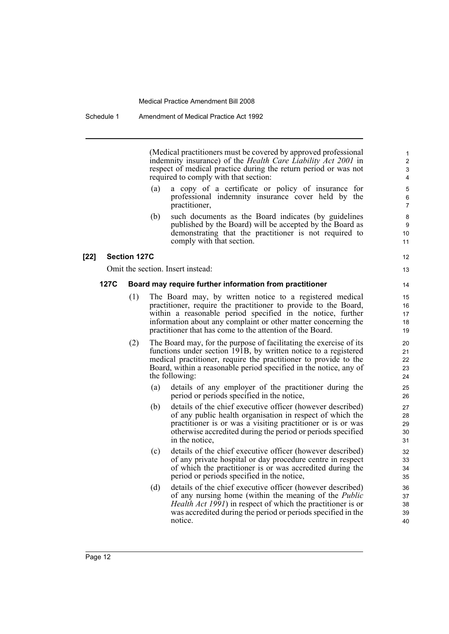(Medical practitioners must be covered by approved professional indemnity insurance) of the *Health Care Liability Act 2001* in respect of medical practice during the return period or was not required to comply with that section:

12 13

- (a) a copy of a certificate or policy of insurance for professional indemnity insurance cover held by the practitioner,
- (b) such documents as the Board indicates (by guidelines published by the Board) will be accepted by the Board as demonstrating that the practitioner is not required to comply with that section.

### **[22] Section 127C**

Omit the section. Insert instead:

### **127C Board may require further information from practitioner**

- (1) The Board may, by written notice to a registered medical practitioner, require the practitioner to provide to the Board, within a reasonable period specified in the notice, further information about any complaint or other matter concerning the practitioner that has come to the attention of the Board.
- (2) The Board may, for the purpose of facilitating the exercise of its functions under section 191B, by written notice to a registered medical practitioner, require the practitioner to provide to the Board, within a reasonable period specified in the notice, any of the following:
	- (a) details of any employer of the practitioner during the period or periods specified in the notice,
	- (b) details of the chief executive officer (however described) of any public health organisation in respect of which the practitioner is or was a visiting practitioner or is or was otherwise accredited during the period or periods specified in the notice,
	- (c) details of the chief executive officer (however described) of any private hospital or day procedure centre in respect of which the practitioner is or was accredited during the period or periods specified in the notice,
	- (d) details of the chief executive officer (however described) of any nursing home (within the meaning of the *Public Health Act 1991*) in respect of which the practitioner is or was accredited during the period or periods specified in the notice.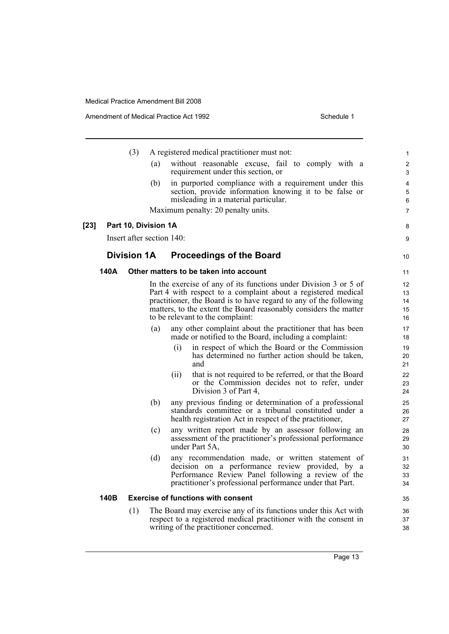|        |                           | (3) |      | A registered medical practitioner must not:                                                                                                                                                                                                                                                                    | 1                                       |
|--------|---------------------------|-----|------|----------------------------------------------------------------------------------------------------------------------------------------------------------------------------------------------------------------------------------------------------------------------------------------------------------------|-----------------------------------------|
|        |                           | (a) |      | without reasonable excuse, fail to comply with a<br>requirement under this section, or                                                                                                                                                                                                                         | $\overline{c}$<br>3                     |
|        |                           | (b) |      | in purported compliance with a requirement under this<br>section, provide information knowing it to be false or<br>misleading in a material particular.                                                                                                                                                        | $\overline{\mathbf{4}}$<br>5<br>$\,6\,$ |
|        |                           |     |      | Maximum penalty: 20 penalty units.                                                                                                                                                                                                                                                                             | $\overline{7}$                          |
| $[23]$ | Part 10, Division 1A      |     |      |                                                                                                                                                                                                                                                                                                                | 8                                       |
|        | Insert after section 140: |     |      |                                                                                                                                                                                                                                                                                                                | 9                                       |
|        | <b>Division 1A</b>        |     |      | <b>Proceedings of the Board</b>                                                                                                                                                                                                                                                                                |                                         |
|        |                           |     |      |                                                                                                                                                                                                                                                                                                                | 10                                      |
|        | 140A                      |     |      | Other matters to be taken into account                                                                                                                                                                                                                                                                         | 11                                      |
|        |                           |     |      | In the exercise of any of its functions under Division 3 or 5 of<br>Part 4 with respect to a complaint about a registered medical<br>practitioner, the Board is to have regard to any of the following<br>matters, to the extent the Board reasonably considers the matter<br>to be relevant to the complaint: | 12<br>13<br>14<br>15<br>16              |
|        |                           | (a) |      | any other complaint about the practitioner that has been<br>made or notified to the Board, including a complaint:                                                                                                                                                                                              | 17<br>18                                |
|        |                           |     | (i)  | in respect of which the Board or the Commission<br>has determined no further action should be taken,<br>and                                                                                                                                                                                                    | 19<br>20<br>21                          |
|        |                           |     | (ii) | that is not required to be referred, or that the Board<br>or the Commission decides not to refer, under<br>Division 3 of Part 4,                                                                                                                                                                               | 22<br>23<br>24                          |
|        |                           | (b) |      | any previous finding or determination of a professional<br>standards committee or a tribunal constituted under a<br>health registration Act in respect of the practitioner,                                                                                                                                    | 25<br>26<br>27                          |
|        |                           | (c) |      | any written report made by an assessor following an<br>assessment of the practitioner's professional performance<br>under Part 5A,                                                                                                                                                                             | 28<br>29<br>30                          |
|        |                           | (d) |      | any recommendation made, or written statement of<br>decision on a performance review provided, by a<br>Performance Review Panel following a review of the<br>practitioner's professional performance under that Part.                                                                                          | 31<br>32<br>33<br>34                    |
|        | 140B                      |     |      | <b>Exercise of functions with consent</b>                                                                                                                                                                                                                                                                      | 35                                      |
|        |                           | (1) |      | The Board may exercise any of its functions under this Act with<br>respect to a registered medical practitioner with the consent in<br>writing of the practitioner concerned.                                                                                                                                  | 36<br>37<br>38                          |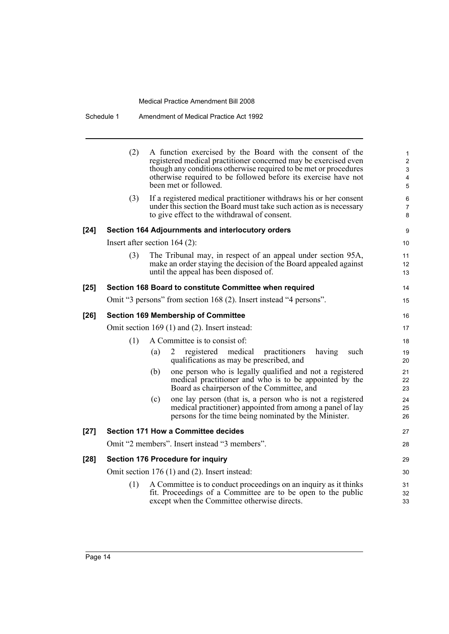| Schedule 1 | Amendment of Medical Practice Act 1992 |  |
|------------|----------------------------------------|--|
|------------|----------------------------------------|--|

|        | (2) | A function exercised by the Board with the consent of the<br>registered medical practitioner concerned may be exercised even<br>though any conditions otherwise required to be met or procedures<br>otherwise required to be followed before its exercise have not<br>been met or followed. | 1<br>$\overline{c}$<br>3<br>4<br>5 |
|--------|-----|---------------------------------------------------------------------------------------------------------------------------------------------------------------------------------------------------------------------------------------------------------------------------------------------|------------------------------------|
|        | (3) | If a registered medical practitioner withdraws his or her consent<br>under this section the Board must take such action as is necessary<br>to give effect to the withdrawal of consent.                                                                                                     | 6<br>7<br>8                        |
| [24]   |     | Section 164 Adjournments and interlocutory orders                                                                                                                                                                                                                                           | 9                                  |
|        |     | Insert after section $164$ (2):                                                                                                                                                                                                                                                             | 10                                 |
|        | (3) | The Tribunal may, in respect of an appeal under section 95A,<br>make an order staying the decision of the Board appealed against<br>until the appeal has been disposed of.                                                                                                                  | 11<br>12<br>13                     |
| $[25]$ |     | Section 168 Board to constitute Committee when required                                                                                                                                                                                                                                     | 14                                 |
|        |     | Omit "3 persons" from section 168 (2). Insert instead "4 persons".                                                                                                                                                                                                                          | 15                                 |
| $[26]$ |     | <b>Section 169 Membership of Committee</b>                                                                                                                                                                                                                                                  | 16                                 |
|        |     | Omit section 169 (1) and (2). Insert instead:                                                                                                                                                                                                                                               | 17                                 |
|        | (1) | A Committee is to consist of:                                                                                                                                                                                                                                                               | 18                                 |
|        |     | registered medical<br>(a)<br>practitioners<br>having<br>such<br>2<br>qualifications as may be prescribed, and                                                                                                                                                                               | 19<br>20                           |
|        |     | one person who is legally qualified and not a registered<br>(b)<br>medical practitioner and who is to be appointed by the<br>Board as chairperson of the Committee, and                                                                                                                     | 21<br>22<br>23                     |
|        |     | one lay person (that is, a person who is not a registered<br>(c)<br>medical practitioner) appointed from among a panel of lay<br>persons for the time being nominated by the Minister.                                                                                                      | 24<br>25<br>26                     |
| $[27]$ |     | <b>Section 171 How a Committee decides</b>                                                                                                                                                                                                                                                  | 27                                 |
|        |     | Omit "2 members". Insert instead "3 members".                                                                                                                                                                                                                                               | 28                                 |
| $[28]$ |     | <b>Section 176 Procedure for inquiry</b>                                                                                                                                                                                                                                                    | 29                                 |
|        |     | Omit section $176(1)$ and $(2)$ . Insert instead:                                                                                                                                                                                                                                           | 30                                 |
|        | (1) | A Committee is to conduct proceedings on an inquiry as it thinks<br>fit. Proceedings of a Committee are to be open to the public<br>except when the Committee otherwise directs.                                                                                                            | 31<br>32<br>33                     |
|        |     |                                                                                                                                                                                                                                                                                             |                                    |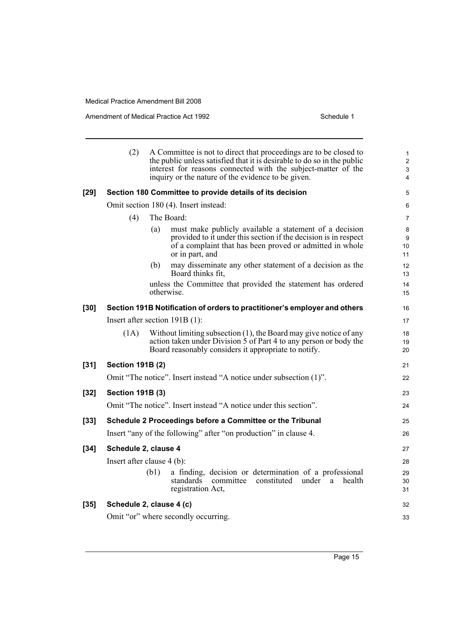Amendment of Medical Practice Act 1992 **Schedule 1** Schedule 1

|        | (2)                     | A Committee is not to direct that proceedings are to be closed to<br>the public unless satisfied that it is desirable to do so in the public<br>interest for reasons connected with the subject-matter of the<br>inquiry or the nature of the evidence to be given. | 1<br>$\overline{\mathbf{c}}$<br>3<br>4 |
|--------|-------------------------|---------------------------------------------------------------------------------------------------------------------------------------------------------------------------------------------------------------------------------------------------------------------|----------------------------------------|
| $[29]$ |                         | Section 180 Committee to provide details of its decision                                                                                                                                                                                                            | 5                                      |
|        |                         | Omit section 180 (4). Insert instead:                                                                                                                                                                                                                               | 6                                      |
|        | (4)                     | The Board:                                                                                                                                                                                                                                                          | 7                                      |
|        |                         | must make publicly available a statement of a decision<br>(a)<br>provided to it under this section if the decision is in respect<br>of a complaint that has been proved or admitted in whole<br>or in part, and                                                     | 8<br>9<br>10<br>11                     |
|        |                         | (b)<br>may disseminate any other statement of a decision as the<br>Board thinks fit,                                                                                                                                                                                | 12<br>13                               |
|        |                         | unless the Committee that provided the statement has ordered<br>otherwise.                                                                                                                                                                                          | 14<br>15                               |
| $[30]$ |                         | Section 191B Notification of orders to practitioner's employer and others                                                                                                                                                                                           | 16                                     |
|        |                         | Insert after section $191B(1)$ :                                                                                                                                                                                                                                    | 17                                     |
|        | (1A)                    | Without limiting subsection $(1)$ , the Board may give notice of any<br>action taken under Division 5 of Part 4 to any person or body the<br>Board reasonably considers it appropriate to notify.                                                                   | 18<br>19<br>20                         |
| $[31]$ | <b>Section 191B (2)</b> |                                                                                                                                                                                                                                                                     | 21                                     |
|        |                         | Omit "The notice". Insert instead "A notice under subsection (1)".                                                                                                                                                                                                  | 22                                     |
| $[32]$ | <b>Section 191B (3)</b> |                                                                                                                                                                                                                                                                     | 23                                     |
|        |                         | Omit "The notice". Insert instead "A notice under this section".                                                                                                                                                                                                    | 24                                     |
| $[33]$ |                         | Schedule 2 Proceedings before a Committee or the Tribunal                                                                                                                                                                                                           | 25                                     |
|        |                         | Insert "any of the following" after "on production" in clause 4.                                                                                                                                                                                                    | 26                                     |
| $[34]$ | Schedule 2, clause 4    |                                                                                                                                                                                                                                                                     | 27                                     |
|        |                         | Insert after clause 4 (b):                                                                                                                                                                                                                                          | 28                                     |
|        |                         | a finding, decision or determination of a professional<br>(b1)<br>standards<br>committee<br>constituted<br>under<br>health<br>a<br>registration Act,                                                                                                                | 29<br>30<br>31                         |
| $[35]$ |                         | Schedule 2, clause 4 (c)                                                                                                                                                                                                                                            | 32                                     |
|        |                         | Omit "or" where secondly occurring.                                                                                                                                                                                                                                 | 33                                     |
|        |                         |                                                                                                                                                                                                                                                                     |                                        |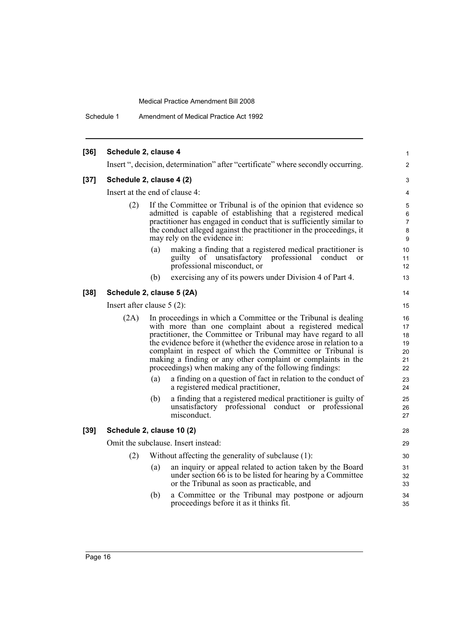Schedule 1 Amendment of Medical Practice Act 1992

| $[36]$ | Schedule 2, clause 4           |     |                                                                                                                                                                                                                                                                                                                                                                                                                                                             | 1                                      |
|--------|--------------------------------|-----|-------------------------------------------------------------------------------------------------------------------------------------------------------------------------------------------------------------------------------------------------------------------------------------------------------------------------------------------------------------------------------------------------------------------------------------------------------------|----------------------------------------|
|        |                                |     | Insert ", decision, determination" after "certificate" where secondly occurring.                                                                                                                                                                                                                                                                                                                                                                            | $\overline{\mathbf{c}}$                |
| $[37]$ | Schedule 2, clause 4 (2)       |     |                                                                                                                                                                                                                                                                                                                                                                                                                                                             |                                        |
|        | Insert at the end of clause 4: |     |                                                                                                                                                                                                                                                                                                                                                                                                                                                             | 4                                      |
|        | (2)                            |     | If the Committee or Tribunal is of the opinion that evidence so<br>admitted is capable of establishing that a registered medical<br>practitioner has engaged in conduct that is sufficiently similar to<br>the conduct alleged against the practitioner in the proceedings, it<br>may rely on the evidence in:                                                                                                                                              | 5<br>6<br>7<br>8<br>$\boldsymbol{9}$   |
|        |                                | (a) | making a finding that a registered medical practitioner is<br>guilty of unsatisfactory professional conduct<br>$\alpha$<br>professional misconduct, or                                                                                                                                                                                                                                                                                                      | 10<br>11<br>12                         |
|        |                                | (b) | exercising any of its powers under Division 4 of Part 4.                                                                                                                                                                                                                                                                                                                                                                                                    | 13                                     |
| $[38]$ | Schedule 2, clause 5 (2A)      |     |                                                                                                                                                                                                                                                                                                                                                                                                                                                             | 14                                     |
|        | Insert after clause $5(2)$ :   |     |                                                                                                                                                                                                                                                                                                                                                                                                                                                             | 15                                     |
|        | (2A)                           |     | In proceedings in which a Committee or the Tribunal is dealing<br>with more than one complaint about a registered medical<br>practitioner, the Committee or Tribunal may have regard to all<br>the evidence before it (whether the evidence arose in relation to a<br>complaint in respect of which the Committee or Tribunal is<br>making a finding or any other complaint or complaints in the<br>proceedings) when making any of the following findings: | 16<br>17<br>18<br>19<br>20<br>21<br>22 |
|        |                                | (a) | a finding on a question of fact in relation to the conduct of<br>a registered medical practitioner,                                                                                                                                                                                                                                                                                                                                                         | 23<br>24                               |
|        |                                | (b) | a finding that a registered medical practitioner is guilty of<br>professional conduct or professional<br>unsatisfactory<br>misconduct.                                                                                                                                                                                                                                                                                                                      | 25<br>26<br>27                         |
| $[39]$ | Schedule 2, clause 10 (2)      |     |                                                                                                                                                                                                                                                                                                                                                                                                                                                             | 28                                     |
|        |                                |     | Omit the subclause. Insert instead:                                                                                                                                                                                                                                                                                                                                                                                                                         | 29                                     |
|        | (2)                            |     | Without affecting the generality of subclause (1):                                                                                                                                                                                                                                                                                                                                                                                                          | 30                                     |
|        |                                | (a) | an inquiry or appeal related to action taken by the Board<br>under section 66 is to be listed for hearing by a Committee<br>or the Tribunal as soon as practicable, and                                                                                                                                                                                                                                                                                     | 31<br>32<br>33                         |
|        |                                | (b) | a Committee or the Tribunal may postpone or adjourn<br>proceedings before it as it thinks fit.                                                                                                                                                                                                                                                                                                                                                              | 34<br>35                               |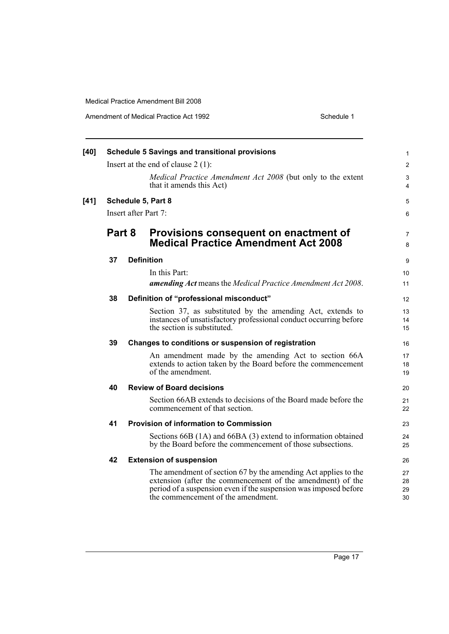Amendment of Medical Practice Act 1992

| Schedule 1 |  |
|------------|--|

| $[40]$ |    |        | <b>Schedule 5 Savings and transitional provisions</b>                                                                                                                                                                                  | $\mathbf{1}$         |
|--------|----|--------|----------------------------------------------------------------------------------------------------------------------------------------------------------------------------------------------------------------------------------------|----------------------|
|        |    |        | Insert at the end of clause $2(1)$ :                                                                                                                                                                                                   | 2                    |
|        |    |        | Medical Practice Amendment Act 2008 (but only to the extent<br>that it amends this Act)                                                                                                                                                | 3<br>4               |
| $[41]$ |    |        | Schedule 5, Part 8                                                                                                                                                                                                                     | 5                    |
|        |    |        | Insert after Part 7:                                                                                                                                                                                                                   | 6                    |
|        |    | Part 8 | Provisions consequent on enactment of<br><b>Medical Practice Amendment Act 2008</b>                                                                                                                                                    | $\overline{7}$<br>8  |
|        | 37 |        | <b>Definition</b>                                                                                                                                                                                                                      | 9                    |
|        |    |        | In this Part:                                                                                                                                                                                                                          | 10                   |
|        |    |        | amending Act means the Medical Practice Amendment Act 2008.                                                                                                                                                                            | 11                   |
|        | 38 |        | Definition of "professional misconduct"                                                                                                                                                                                                | 12                   |
|        |    |        | Section 37, as substituted by the amending Act, extends to<br>instances of unsatisfactory professional conduct occurring before<br>the section is substituted.                                                                         | 13<br>14<br>15       |
|        | 39 |        | Changes to conditions or suspension of registration                                                                                                                                                                                    | 16                   |
|        |    |        | An amendment made by the amending Act to section 66A<br>extends to action taken by the Board before the commencement<br>of the amendment.                                                                                              | 17<br>18<br>19       |
|        | 40 |        | <b>Review of Board decisions</b>                                                                                                                                                                                                       | 20                   |
|        |    |        | Section 66AB extends to decisions of the Board made before the<br>commencement of that section.                                                                                                                                        | 21<br>22             |
|        | 41 |        | <b>Provision of information to Commission</b>                                                                                                                                                                                          | 23                   |
|        |    |        | Sections 66B (1A) and 66BA (3) extend to information obtained<br>by the Board before the commencement of those subsections.                                                                                                            | 24<br>25             |
|        | 42 |        | <b>Extension of suspension</b>                                                                                                                                                                                                         | 26                   |
|        |    |        | The amendment of section 67 by the amending Act applies to the<br>extension (after the commencement of the amendment) of the<br>period of a suspension even if the suspension was imposed before<br>the commencement of the amendment. | 27<br>28<br>29<br>30 |
|        |    |        |                                                                                                                                                                                                                                        |                      |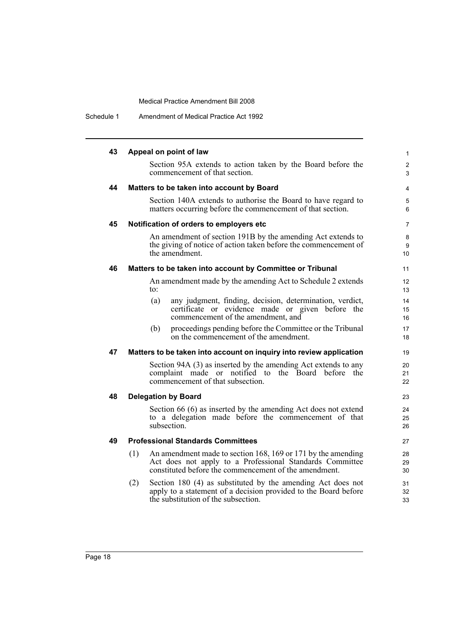Schedule 1 Amendment of Medical Practice Act 1992

| 43 | Appeal on point of law                                                                                                                                                                   |          |
|----|------------------------------------------------------------------------------------------------------------------------------------------------------------------------------------------|----------|
|    | Section 95A extends to action taken by the Board before the<br>commencement of that section.                                                                                             |          |
| 44 | Matters to be taken into account by Board                                                                                                                                                |          |
|    | Section 140A extends to authorise the Board to have regard to<br>matters occurring before the commencement of that section.                                                              |          |
| 45 | Notification of orders to employers etc                                                                                                                                                  |          |
|    | An amendment of section 191B by the amending Act extends to<br>the giving of notice of action taken before the commencement of<br>the amendment.                                         |          |
| 46 | Matters to be taken into account by Committee or Tribunal                                                                                                                                |          |
|    | An amendment made by the amending Act to Schedule 2 extends<br>to:                                                                                                                       |          |
|    | any judgment, finding, decision, determination, verdict,<br>(a)<br>certificate or evidence made or given before the<br>commencement of the amendment, and                                |          |
|    | proceedings pending before the Committee or the Tribunal<br>(b)<br>on the commencement of the amendment.                                                                                 |          |
| 47 | Matters to be taken into account on inquiry into review application                                                                                                                      |          |
|    | Section 94A (3) as inserted by the amending Act extends to any<br>complaint made or notified to the Board before the<br>commencement of that subsection.                                 | 20<br>21 |
| 48 | <b>Delegation by Board</b>                                                                                                                                                               |          |
|    | Section 66 (6) as inserted by the amending Act does not extend<br>to a delegation made before the commencement of that<br>subsection.                                                    |          |
| 49 | <b>Professional Standards Committees</b>                                                                                                                                                 |          |
|    | An amendment made to section 168, 169 or 171 by the amending<br>(1)<br>Act does not apply to a Professional Standards Committee<br>constituted before the commencement of the amendment. |          |
|    | Section 180 (4) as substituted by the amending Act does not<br>(2)<br>apply to a statement of a decision provided to the Board before<br>the substitution of the subsection.             |          |
|    |                                                                                                                                                                                          |          |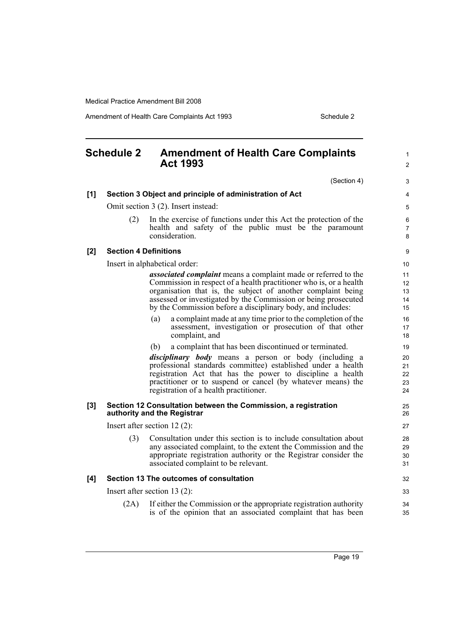Amendment of Health Care Complaints Act 1993 Schedule 2

<span id="page-28-0"></span>

| <b>Schedule 2</b> |      | <b>Amendment of Health Care Complaints</b><br><b>Act 1993</b>                                                                                                                                                                                                                                                                                | 1<br>$\overline{2}$        |
|-------------------|------|----------------------------------------------------------------------------------------------------------------------------------------------------------------------------------------------------------------------------------------------------------------------------------------------------------------------------------------------|----------------------------|
|                   |      | (Section 4)                                                                                                                                                                                                                                                                                                                                  | 3                          |
| [1]               |      | Section 3 Object and principle of administration of Act                                                                                                                                                                                                                                                                                      | 4                          |
|                   |      | Omit section 3 (2). Insert instead:                                                                                                                                                                                                                                                                                                          | 5                          |
|                   | (2)  | In the exercise of functions under this Act the protection of the<br>health and safety of the public must be the paramount<br>consideration.                                                                                                                                                                                                 | 6<br>7<br>8                |
| [2]               |      | <b>Section 4 Definitions</b>                                                                                                                                                                                                                                                                                                                 | 9                          |
|                   |      | Insert in alphabetical order:                                                                                                                                                                                                                                                                                                                | 10                         |
|                   |      | <i>associated complaint</i> means a complaint made or referred to the<br>Commission in respect of a health practitioner who is, or a health<br>organisation that is, the subject of another complaint being<br>assessed or investigated by the Commission or being prosecuted<br>by the Commission before a disciplinary body, and includes: | 11<br>12<br>13<br>14<br>15 |
|                   |      | a complaint made at any time prior to the completion of the<br>(a)<br>assessment, investigation or prosecution of that other<br>complaint, and                                                                                                                                                                                               | 16<br>17<br>18             |
|                   |      | a complaint that has been discontinued or terminated.<br>(b)                                                                                                                                                                                                                                                                                 | 19                         |
|                   |      | <i>disciplinary body</i> means a person or body (including a<br>professional standards committee) established under a health<br>registration Act that has the power to discipline a health<br>practitioner or to suspend or cancel (by whatever means) the<br>registration of a health practitioner.                                         | 20<br>21<br>22<br>23<br>24 |
| [3]               |      | Section 12 Consultation between the Commission, a registration<br>authority and the Registrar                                                                                                                                                                                                                                                | 25<br>26                   |
|                   |      | Insert after section $12(2)$ :                                                                                                                                                                                                                                                                                                               | 27                         |
|                   | (3)  | Consultation under this section is to include consultation about<br>any associated complaint, to the extent the Commission and the<br>appropriate registration authority or the Registrar consider the<br>associated complaint to be relevant.                                                                                               | 28<br>29<br>30<br>31       |
| [4]               |      | Section 13 The outcomes of consultation                                                                                                                                                                                                                                                                                                      | 32                         |
|                   |      | Insert after section 13 $(2)$ :                                                                                                                                                                                                                                                                                                              | 33                         |
|                   | (2A) | If either the Commission or the appropriate registration authority<br>is of the opinion that an associated complaint that has been                                                                                                                                                                                                           | 34<br>35                   |

Page 19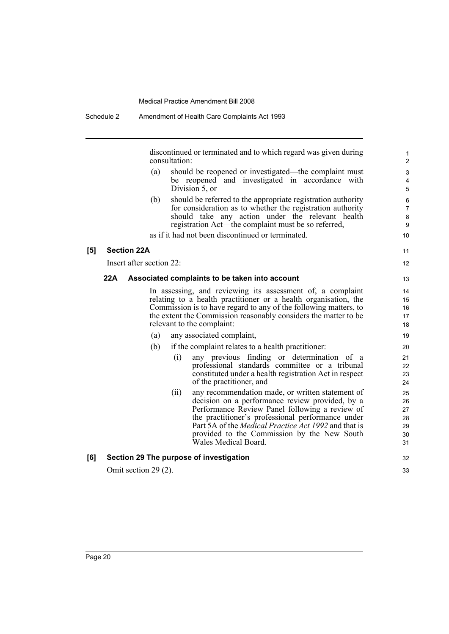discontinued or terminated and to which regard was given during consultation:

- (a) should be reopened or investigated—the complaint must be reopened and investigated in accordance with Division 5, or
- (b) should be referred to the appropriate registration authority for consideration as to whether the registration authority should take any action under the relevant health registration Act—the complaint must be so referred,

as if it had not been discontinued or terminated.

### **[5] Section 22A**

Insert after section 22:

### **22A Associated complaints to be taken into account**

In assessing, and reviewing its assessment of, a complaint relating to a health practitioner or a health organisation, the Commission is to have regard to any of the following matters, to the extent the Commission reasonably considers the matter to be relevant to the complaint:

- (a) any associated complaint,
- (b) if the complaint relates to a health practitioner:
	- (i) any previous finding or determination of a professional standards committee or a tribunal constituted under a health registration Act in respect of the practitioner, and
	- (ii) any recommendation made, or written statement of decision on a performance review provided, by a Performance Review Panel following a review of the practitioner's professional performance under Part 5A of the *Medical Practice Act 1992* and that is provided to the Commission by the New South Wales Medical Board.

### **[6] Section 29 The purpose of investigation**

Omit section 29 (2).

32 33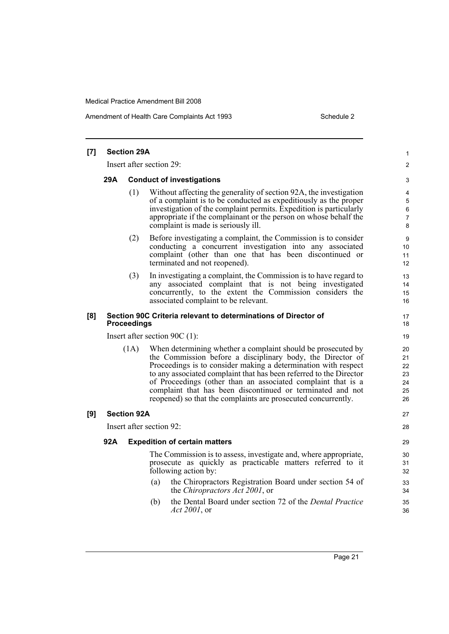Amendment of Health Care Complaints Act 1993 Schedule 2

| [7] |                                                                                                                                                                                                                                                                                                                                                                                                                                                                           | <b>Section 29A</b>       |                                                                                                                                                                                                                                  | 1                    |  |  |  |  |
|-----|---------------------------------------------------------------------------------------------------------------------------------------------------------------------------------------------------------------------------------------------------------------------------------------------------------------------------------------------------------------------------------------------------------------------------------------------------------------------------|--------------------------|----------------------------------------------------------------------------------------------------------------------------------------------------------------------------------------------------------------------------------|----------------------|--|--|--|--|
|     |                                                                                                                                                                                                                                                                                                                                                                                                                                                                           | Insert after section 29: |                                                                                                                                                                                                                                  |                      |  |  |  |  |
|     | 29A<br><b>Conduct of investigations</b>                                                                                                                                                                                                                                                                                                                                                                                                                                   |                          |                                                                                                                                                                                                                                  |                      |  |  |  |  |
|     | (1)<br>Without affecting the generality of section 92A, the investigation<br>of a complaint is to be conducted as expeditiously as the proper<br>investigation of the complaint permits. Expedition is particularly<br>appropriate if the complainant or the person on whose behalf the<br>complaint is made is seriously ill.                                                                                                                                            |                          |                                                                                                                                                                                                                                  |                      |  |  |  |  |
|     | Before investigating a complaint, the Commission is to consider<br>(2)<br>conducting a concurrent investigation into any associated<br>complaint (other than one that has been discontinued or<br>terminated and not reopened).                                                                                                                                                                                                                                           |                          |                                                                                                                                                                                                                                  |                      |  |  |  |  |
|     |                                                                                                                                                                                                                                                                                                                                                                                                                                                                           | (3)                      | In investigating a complaint, the Commission is to have regard to<br>any associated complaint that is not being investigated<br>concurrently, to the extent the Commission considers the<br>associated complaint to be relevant. | 13<br>14<br>15<br>16 |  |  |  |  |
| [8] | Section 90C Criteria relevant to determinations of Director of<br><b>Proceedings</b>                                                                                                                                                                                                                                                                                                                                                                                      |                          |                                                                                                                                                                                                                                  | 17<br>18             |  |  |  |  |
|     | Insert after section 90C $(1)$ :                                                                                                                                                                                                                                                                                                                                                                                                                                          |                          |                                                                                                                                                                                                                                  |                      |  |  |  |  |
|     | When determining whether a complaint should be prosecuted by<br>(1A)<br>the Commission before a disciplinary body, the Director of<br>Proceedings is to consider making a determination with respect<br>to any associated complaint that has been referred to the Director<br>of Proceedings (other than an associated complaint that is a<br>complaint that has been discontinued or terminated and not<br>reopened) so that the complaints are prosecuted concurrently. |                          |                                                                                                                                                                                                                                  |                      |  |  |  |  |
| [9] |                                                                                                                                                                                                                                                                                                                                                                                                                                                                           | <b>Section 92A</b>       |                                                                                                                                                                                                                                  | 27                   |  |  |  |  |
|     |                                                                                                                                                                                                                                                                                                                                                                                                                                                                           |                          | Insert after section 92:                                                                                                                                                                                                         | 28                   |  |  |  |  |
|     | 92A<br><b>Expedition of certain matters</b><br>The Commission is to assess, investigate and, where appropriate,<br>prosecute as quickly as practicable matters referred to it<br>following action by:<br>the Chiropractors Registration Board under section 54 of<br>(a)<br>the <i>Chiropractors Act 2001</i> , or                                                                                                                                                        |                          |                                                                                                                                                                                                                                  |                      |  |  |  |  |
|     |                                                                                                                                                                                                                                                                                                                                                                                                                                                                           |                          |                                                                                                                                                                                                                                  |                      |  |  |  |  |
|     |                                                                                                                                                                                                                                                                                                                                                                                                                                                                           |                          |                                                                                                                                                                                                                                  |                      |  |  |  |  |
|     | the Dental Board under section 72 of the <i>Dental Practice</i><br>(b)<br>Act 2001, or                                                                                                                                                                                                                                                                                                                                                                                    |                          |                                                                                                                                                                                                                                  |                      |  |  |  |  |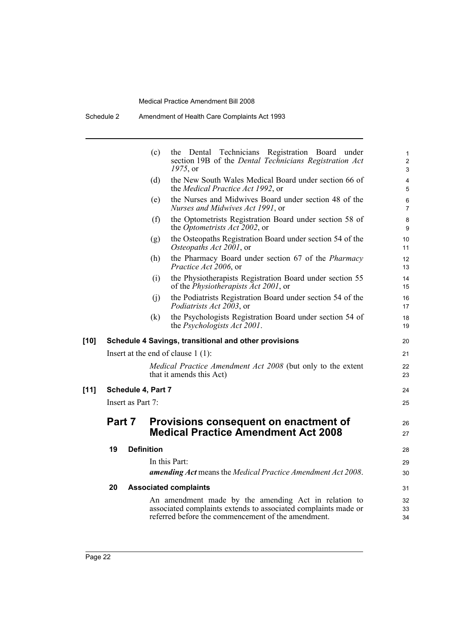|        |        |                   | (c)                | the Dental Technicians Registration Board under<br>section 19B of the Dental Technicians Registration Act<br>$1975$ , or                                                     | 1<br>$\overline{c}$<br>3 |
|--------|--------|-------------------|--------------------|------------------------------------------------------------------------------------------------------------------------------------------------------------------------------|--------------------------|
|        |        |                   | (d)                | the New South Wales Medical Board under section 66 of<br>the Medical Practice Act 1992, or                                                                                   | 4<br>5                   |
|        |        |                   | (e)                | the Nurses and Midwives Board under section 48 of the<br>Nurses and Midwives Act 1991, or                                                                                    | 6<br>$\overline{7}$      |
|        |        |                   | (f)                | the Optometrists Registration Board under section 58 of<br>the <i>Optometrists Act 2002</i> , or                                                                             | 8<br>9                   |
|        |        |                   | (g)                | the Osteopaths Registration Board under section 54 of the<br>Osteopaths Act 2001, or                                                                                         | 10<br>11                 |
|        |        |                   | (h)                | the Pharmacy Board under section 67 of the <i>Pharmacy</i><br>Practice Act 2006, or                                                                                          | 12<br>13                 |
|        |        |                   | (i)                | the Physiotherapists Registration Board under section 55<br>of the <i>Physiotherapists Act 2001</i> , or                                                                     | 14<br>15                 |
|        |        |                   | (j)                | the Podiatrists Registration Board under section 54 of the<br><i>Podiatrists Act 2003</i> , or                                                                               | 16<br>17                 |
|        |        |                   | (k)                | the Psychologists Registration Board under section 54 of<br>the <i>Psychologists Act 2001</i> .                                                                              | 18<br>19                 |
| $[10]$ |        |                   |                    | Schedule 4 Savings, transitional and other provisions                                                                                                                        | 20                       |
|        |        |                   |                    | Insert at the end of clause $1(1)$ :                                                                                                                                         | 21                       |
|        |        |                   |                    | Medical Practice Amendment Act 2008 (but only to the extent<br>that it amends this Act)                                                                                      | 22<br>23                 |
| $[11]$ |        |                   | Schedule 4, Part 7 |                                                                                                                                                                              | 24                       |
|        |        | Insert as Part 7: |                    |                                                                                                                                                                              | 25                       |
|        | Part 7 |                   |                    | Provisions consequent on enactment of<br><b>Medical Practice Amendment Act 2008</b>                                                                                          | 26<br>27                 |
|        | 19     |                   | <b>Definition</b>  |                                                                                                                                                                              | 28                       |
|        |        |                   |                    | In this Part:                                                                                                                                                                | 29                       |
|        |        |                   |                    | amending Act means the Medical Practice Amendment Act 2008.                                                                                                                  | 30                       |
|        | 20     |                   |                    | <b>Associated complaints</b>                                                                                                                                                 | 31                       |
|        |        |                   |                    | An amendment made by the amending Act in relation to<br>associated complaints extends to associated complaints made or<br>referred before the commencement of the amendment. | 32<br>33<br>34           |
|        |        |                   |                    |                                                                                                                                                                              |                          |